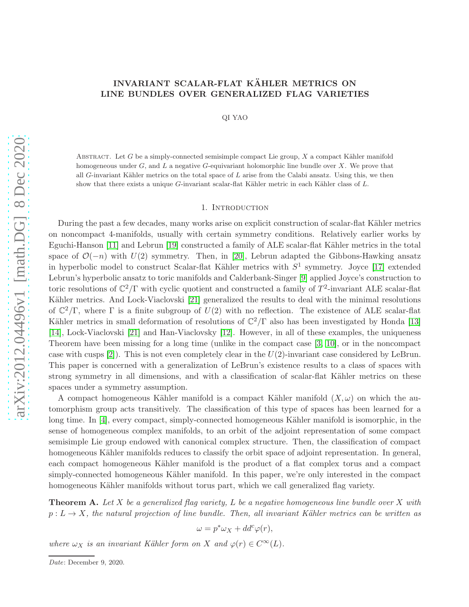# INVARIANT SCALAR-FLAT KÄHLER METRICS ON LINE BUNDLES OVER GENERALIZED FLAG VARIETIES

QI YAO

ABSTRACT. Let  $G$  be a simply-connected semisimple compact Lie group,  $X$  a compact Kähler manifold homogeneous under  $G$ , and  $L$  a negative  $G$ -equivariant holomorphic line bundle over  $X$ . We prove that all G-invariant Kähler metrics on the total space of  $L$  arise from the Calabi ansatz. Using this, we then show that there exists a unique  $G$ -invariant scalar-flat Kähler metric in each Kähler class of  $L$ .

### 1. INTRODUCTION

During the past a few decades, many works arise on explicit construction of scalar-flat Kähler metrics on noncompact 4-manifolds, usually with certain symmetry conditions. Relatively earlier works by Eguchi-Hanson [\[11\]](#page-26-0) and Lebrun [\[19\]](#page-26-1) constructed a family of ALE scalar-flat Kähler metrics in the total space of  $\mathcal{O}(-n)$  with  $U(2)$  symmetry. Then, in [\[20\]](#page-26-2), Lebrun adapted the Gibbons-Hawking ansatz in hyperbolic model to construct Scalar-flat Kähler metrics with  $S^1$  symmetry. Joyce [\[17\]](#page-26-3) extended Lebrun's hyperbolic ansatz to toric manifolds and Calderbank-Singer [\[9\]](#page-26-4) applied Joyce's construction to toric resolutions of  $\mathbb{C}^2/\Gamma$  with cyclic quotient and constructed a family of  $T^2$ -invariant ALE scalar-flat Kähler metrics. And Lock-Viaclovski [\[21\]](#page-26-5) generalized the results to deal with the minimal resolutions of  $\mathbb{C}^2/\Gamma$ , where  $\Gamma$  is a finite subgroup of  $U(2)$  with no reflection. The existence of ALE scalar-flat Kähler metrics in small deformation of resolutions of  $\mathbb{C}^2/\Gamma$  also has been investigated by Honda [\[13\]](#page-26-6) [\[14\]](#page-26-7), Lock-Viaclovski [\[21\]](#page-26-5) and Han-Viaclovsky [\[12\]](#page-26-8). However, in all of these examples, the uniqueness Theorem have been missing for a long time (unlike in the compact case [\[3,](#page-26-9) [10\]](#page-26-10), or in the noncompact case with cusps  $[2]$ . This is not even completely clear in the  $U(2)$ -invariant case considered by LeBrun. This paper is concerned with a generalization of LeBrun's existence results to a class of spaces with strong symmetry in all dimensions, and with a classification of scalar-flat Kähler metrics on these spaces under a symmetry assumption.

A compact homogeneous Kähler manifold is a compact Kähler manifold  $(X, \omega)$  on which the automorphism group acts transitively. The classification of this type of spaces has been learned for a long time. In [\[4\]](#page-26-11), every compact, simply-connected homogeneous Kähler manifold is isomorphic, in the sense of homogeneous complex manifolds, to an orbit of the adjoint representation of some compact semisimple Lie group endowed with canonical complex structure. Then, the classification of compact homogeneous Kähler manifolds reduces to classify the orbit space of adjoint representation. In general, each compact homogeneous Kähler manifold is the product of a flat complex torus and a compact simply-connected homogeneous Kähler manifold. In this paper, we're only interested in the compact homogeneous Kähler manifolds without torus part, which we call generalized flag variety.

<span id="page-0-0"></span>**Theorem A.** Let X be a generalized flag variety, L be a negative homogeneous line bundle over X with  $p: L \to X$ , the natural projection of line bundle. Then, all invariant Kähler metrics can be written as

 $\omega = p^* \omega_X + dd^c \varphi(r),$ 

where  $\omega_X$  is an invariant Kähler form on X and  $\varphi(r) \in C^{\infty}(L)$ .

Date: December 9, 2020.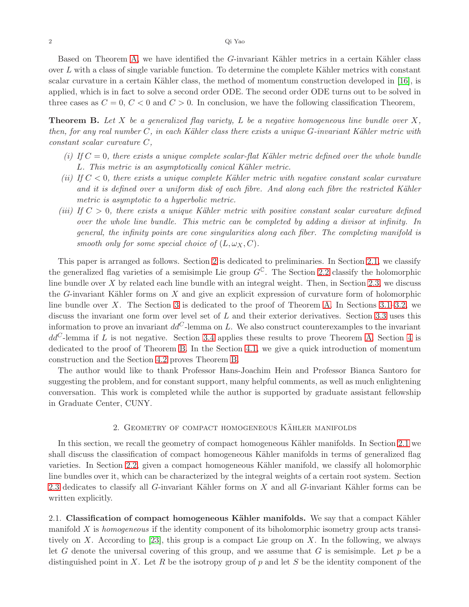Based on Theorem [A,](#page-0-0) we have identified the G-invariant Kähler metrics in a certain Kähler class over  $L$  with a class of single variable function. To determine the complete Kähler metrics with constant scalar curvature in a certain Kähler class, the method of momentum construction developed in [\[16\]](#page-26-12), is applied, which is in fact to solve a second order ODE. The second order ODE turns out to be solved in three cases as  $C = 0, C < 0$  and  $C > 0$ . In conclusion, we have the following classification Theorem,

<span id="page-1-2"></span>**Theorem B.** Let X be a generalized flag variety, L be a negative homogeneous line bundle over X, then, for any real number  $C$ , in each Kähler class there exists a unique  $G$ -invariant Kähler metric with constant scalar curvature C,

- (i) If  $C = 0$ , there exists a unique complete scalar-flat Kähler metric defined over the whole bundle L. This metric is an asymptotically conical Kähler metric.
- (ii) If  $C < 0$ , there exists a unique complete Kähler metric with negative constant scalar curvature and it is defined over a uniform disk of each fibre. And along each fibre the restricted Kähler metric is asymptotic to a hyperbolic metric.
- (iii) If  $C > 0$ , there exists a unique Kähler metric with positive constant scalar curvature defined over the whole line bundle. This metric can be completed by adding a divisor at infinity. In general, the infinity points are cone singularities along each fiber. The completing manifold is smooth only for some special choice of  $(L, \omega_X, C)$ .

This paper is arranged as follows. Section [2](#page-1-0) is dedicated to preliminaries. In Section [2.1,](#page-1-1) we classify the generalized flag varieties of a semisimple Lie group  $G^{\mathbb{C}}$ . The Section [2.2](#page-4-0) classify the holomorphic line bundle over  $X$  by related each line bundle with an integral weight. Then, in Section [2.3,](#page-6-0) we discuss the G-invariant Kähler forms on  $X$  and give an explicit expression of curvature form of holomorphic line bundle over X. The Section [3](#page-9-0) is dedicated to the proof of Theorem [A.](#page-0-0) In Sections  $3.1-3.2$ , we discuss the invariant one form over level set of  $L$  and their exterior derivatives. Section [3.3](#page-15-0) uses this information to prove an invariant  $dd^C$ -lemma on L. We also construct counterexamples to the invariant  $dd^C$ -lemma if L is not negative. Section [3.4](#page-18-0) applies these results to prove Theorem [A.](#page-0-0) Section [4](#page-19-0) is dedicated to the proof of Theorem [B.](#page-1-2) In the Section [4.1,](#page-19-1) we give a quick introduction of momentum construction and the Section [4.2](#page-21-0) proves Theorem [B.](#page-1-2)

The author would like to thank Professor Hans-Joachim Hein and Professor Bianca Santoro for suggesting the problem, and for constant support, many helpful comments, as well as much enlightening conversation. This work is completed while the author is supported by graduate assistant fellowship in Graduate Center, CUNY.

## 2. GEOMETRY OF COMPACT HOMOGENEOUS KÄHLER MANIFOLDS

<span id="page-1-0"></span>In this section, we recall the geometry of compact homogeneous Kähler manifolds. In Section [2.1](#page-1-1) we shall discuss the classification of compact homogeneous Kähler manifolds in terms of generalized flag varieties. In Section [2.2,](#page-4-0) given a compact homogeneous Kähler manifold, we classify all holomorphic line bundles over it, which can be characterized by the integral weights of a certain root system. Section [2.3](#page-6-0) dedicates to classify all  $G$ -invariant Kähler forms on  $X$  and all  $G$ -invariant Kähler forms can be written explicitly.

<span id="page-1-1"></span>2.1. Classification of compact homogeneous Kähler manifolds. We say that a compact Kähler manifold  $X$  is *homogeneous* if the identity component of its biholomorphic isometry group acts transi-tively on X. According to [\[23\]](#page-26-13), this group is a compact Lie group on X. In the following, we always let G denote the universal covering of this group, and we assume that G is semisimple. Let  $p$  be a distinguished point in X. Let R be the isotropy group of p and let S be the identity component of the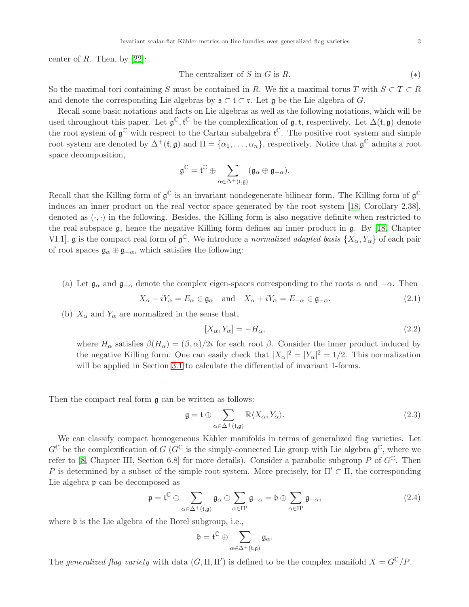center of  $R$ . Then, by [\[22\]](#page-26-14):

The centralizer of 
$$
S
$$
 in  $G$  is  $R$ . 
$$
(*)
$$

So the maximal tori containing S must be contained in R. We fix a maximal torus T with  $S \subset T \subset R$ and denote the corresponding Lie algebras by  $\mathfrak{s} \subset \mathfrak{t} \subset \mathfrak{r}$ . Let  $\mathfrak{g}$  be the Lie algebra of G.

Recall some basic notations and facts on Lie algebras as well as the following notations, which will be used throughout this paper. Let  $\mathfrak{g}^{\mathbb{C}}, \mathfrak{t}^{\mathbb{C}}$  be the complexification of  $\mathfrak{g}, \mathfrak{t}$ , respectively. Let  $\Delta(\mathfrak{t}, \mathfrak{g})$  denote the root system of  $\mathfrak{g}^{\mathbb{C}}$  with respect to the Cartan subalgebra  $\mathfrak{t}^{\mathbb{C}}$ . The positive root system and simple root system are denoted by  $\Delta^+(\mathfrak{t},\mathfrak{g})$  and  $\Pi = {\alpha_1,\ldots,\alpha_n}$ , respectively. Notice that  $\mathfrak{g}^{\mathbb{C}}$  admits a root space decomposition,

$$
\mathfrak{g}^{\mathbb{C}}=\mathfrak{t}^{\mathbb{C}}\oplus \sum_{\alpha\in \Delta^+(\mathfrak{t},\mathfrak{g})} (\mathfrak{g}_{\alpha}\oplus \mathfrak{g}_{-\alpha}).
$$

Recall that the Killing form of  $\mathfrak{g}^{\mathbb{C}}$  is an invariant nondegenerate bilinear form. The Killing form of  $\mathfrak{g}^{\mathbb{C}}$ induces an inner product on the real vector space generated by the root system [\[18,](#page-26-15) Corollary 2.38], denoted as  $(\cdot, \cdot)$  in the following. Besides, the Killing form is also negative definite when restricted to the real subspace g, hence the negative Killing form defines an inner product in g. By [\[18,](#page-26-15) Chapter VI.1], **g** is the compact real form of  $\mathfrak{g}^{\mathbb{C}}$ . We introduce a normalized adapted basis  $\{X_{\alpha}, Y_{\alpha}\}$  of each pair of root spaces  $\mathfrak{g}_{\alpha} \oplus \mathfrak{g}_{-\alpha}$ , which satisfies the following:

(a) Let  $\mathfrak{g}_{\alpha}$  and  $\mathfrak{g}_{-\alpha}$  denote the complex eigen-spaces corresponding to the roots  $\alpha$  and  $-\alpha$ . Then

$$
X_{\alpha} - iY_{\alpha} = E_{\alpha} \in \mathfrak{g}_{\alpha} \quad \text{and} \quad X_{\alpha} + iY_{\alpha} = E_{-\alpha} \in \mathfrak{g}_{-\alpha}.
$$
 (2.1)

(b)  $X_{\alpha}$  and  $Y_{\alpha}$  are normalized in the sense that,

<span id="page-2-2"></span><span id="page-2-1"></span>
$$
[X_{\alpha}, Y_{\alpha}] = -H_{\alpha},\tag{2.2}
$$

where  $H_{\alpha}$  satisfies  $\beta(H_{\alpha}) = (\beta, \alpha)/2i$  for each root  $\beta$ . Consider the inner product induced by the negative Killing form. One can easily check that  $|X_\alpha|^2 = |Y_\alpha|^2 = 1/2$ . This normalization will be applied in Section [3.1](#page-9-1) to calculate the differential of invariant 1-forms.

Then the compact real form g can be written as follows:

$$
\mathfrak{g} = \mathfrak{t} \oplus \sum_{\alpha \in \Delta^+(\mathfrak{t}, \mathfrak{g})} \mathbb{R} \langle X_{\alpha}, Y_{\alpha} \rangle.
$$
 (2.3)

We can classify compact homogeneous Kähler manifolds in terms of generalized flag varieties. Let  $G^{\mathbb{C}}$  be the complexification of G ( $G^{\mathbb{C}}$  is the simply-connected Lie group with Lie algebra  $\mathfrak{g}^{\mathbb{C}}$ , where we refer to [\[8,](#page-26-16) Chapter III, Section 6.8] for more details). Consider a parabolic subgroup P of  $G^{\mathbb{C}}$ . Then P is determined by a subset of the simple root system. More precisely, for  $\Pi' \subset \Pi$ , the corresponding Lie algebra **p** can be decomposed as

$$
\mathfrak{p} = \mathfrak{t}^{\mathbb{C}} \oplus \sum_{\alpha \in \Delta^{+}(\mathfrak{t}, \mathfrak{g})} \mathfrak{g}_{\alpha} \oplus \sum_{\alpha \in \Pi'} \mathfrak{g}_{-\alpha} = \mathfrak{b} \oplus \sum_{\alpha \in \Pi'} \mathfrak{g}_{-\alpha}, \tag{2.4}
$$

where  $\mathfrak b$  is the Lie algebra of the Borel subgroup, i.e.,

<span id="page-2-0"></span>
$$
\mathfrak{b}=\mathfrak{t}^{\mathbb{C}}\oplus\sum_{\alpha\in\Delta^{+}(\mathfrak{t},\mathfrak{g})}\mathfrak{g}_{\alpha}.
$$

The generalized flag variety with data  $(G, \Pi, \Pi')$  is defined to be the complex manifold  $X = G^{\mathbb{C}}/P$ .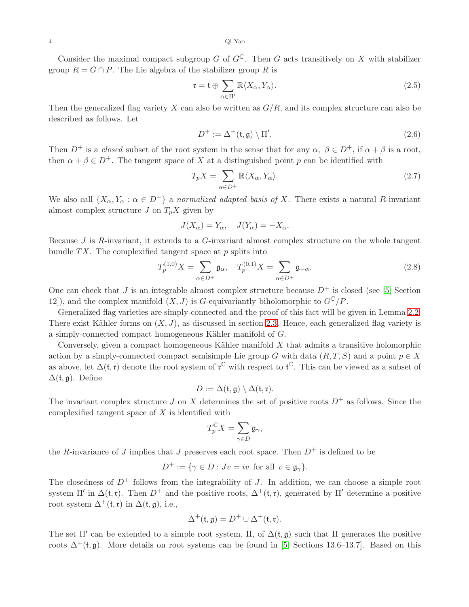Consider the maximal compact subgroup G of  $G^{\mathbb{C}}$ . Then G acts transitively on X with stabilizer group  $R = G \cap P$ . The Lie algebra of the stabilizer group R is

<span id="page-3-0"></span>
$$
\mathfrak{r} = \mathfrak{t} \oplus \sum_{\alpha \in \Pi'} \mathbb{R} \langle X_{\alpha}, Y_{\alpha} \rangle. \tag{2.5}
$$

Then the generalized flag variety  $X$  can also be written as  $G/R$ , and its complex structure can also be described as follows. Let

<span id="page-3-2"></span><span id="page-3-1"></span>
$$
D^{+} := \Delta^{+}(\mathfrak{t}, \mathfrak{g}) \setminus \Pi'. \tag{2.6}
$$

Then  $D^+$  is a closed subset of the root system in the sense that for any  $\alpha, \beta \in D^+$ , if  $\alpha + \beta$  is a root, then  $\alpha + \beta \in D^+$ . The tangent space of X at a distinguished point p can be identified with

$$
T_p X = \sum_{\alpha \in D^+} \mathbb{R} \langle X_\alpha, Y_\alpha \rangle.
$$
 (2.7)

We also call  $\{X_{\alpha}, Y_{\alpha} : \alpha \in D^+\}$  a normalized adapted basis of X. There exists a natural R-invariant almost complex structure  $J$  on  $T_pX$  given by

$$
J(X_{\alpha}) = Y_{\alpha}, \quad J(Y_{\alpha}) = -X_{\alpha}.
$$

Because  $J$  is  $R$ -invariant, it extends to a  $G$ -invariant almost complex structure on the whole tangent bundle  $TX$ . The complexified tangent space at p splits into

$$
T_p^{(1,0)}X = \sum_{\alpha \in D^+} \mathfrak{g}_{\alpha}, \quad T_p^{(0,1)}X = \sum_{\alpha \in D^+} \mathfrak{g}_{-\alpha}.
$$
 (2.8)

One can check that J is an integrable almost complex structure because  $D^+$  is closed (see [5, Section 12]), and the complex manifold  $(X, J)$  is G-equivariantly biholomorphic to  $G^{\mathbb{C}}/P$ .

Generalized flag varieties are simply-connected and the proof of this fact will be given in Lemma [2.2.](#page-4-1) There exist Kähler forms on  $(X, J)$ , as discussed in section [2.3.](#page-6-0) Hence, each generalized flag variety is a simply-connected compact homogeneous Kähler manifold of  $G$ .

Conversely, given a compact homogeneous Kähler manifold  $X$  that admits a transitive holomorphic action by a simply-connected compact semisimple Lie group G with data  $(R, T, S)$  and a point  $p \in X$ as above, let  $\Delta(\mathfrak{t},\mathfrak{r})$  denote the root system of  $\mathfrak{r}^{\mathbb{C}}$  with respect to  $\mathfrak{t}^{\mathbb{C}}$ . This can be viewed as a subset of  $\Delta(\mathfrak{t}, \mathfrak{g})$ . Define

$$
D := \Delta(\mathfrak{t}, \mathfrak{g}) \setminus \Delta(\mathfrak{t}, \mathfrak{r}).
$$

The invariant complex structure J on X determines the set of positive roots  $D^+$  as follows. Since the complexified tangent space of  $X$  is identified with

$$
T_p^{\mathbb{C}}X = \sum_{\gamma \in D} \mathfrak{g}_{\gamma},
$$

the R-invariance of J implies that J preserves each root space. Then  $D^+$  is defined to be

$$
D^+ := \{ \gamma \in D : Jv = iv \text{ for all } v \in \mathfrak{g}_{\gamma} \}.
$$

The closedness of  $D^+$  follows from the integrability of J. In addition, we can choose a simple root system  $\Pi'$  in  $\Delta(\mathfrak{t},\mathfrak{r})$ . Then  $D^+$  and the positive roots,  $\Delta^+(\mathfrak{t},\mathfrak{r})$ , generated by  $\Pi'$  determine a positive root system  $\Delta^+(t, r)$  in  $\Delta(t, \mathfrak{g})$ , i.e.,

$$
\Delta^+(\mathfrak{t},\mathfrak{g})=D^+\cup\Delta^+(\mathfrak{t},\mathfrak{r}).
$$

The set  $\Pi'$  can be extended to a simple root system,  $\Pi$ , of  $\Delta(\mathfrak{t}, \mathfrak{g})$  such that  $\Pi$  generates the positive roots  $\Delta^+(\mathfrak{t}, \mathfrak{g})$ . More details on root systems can be found in [5, Sections 13.6–13.7]. Based on this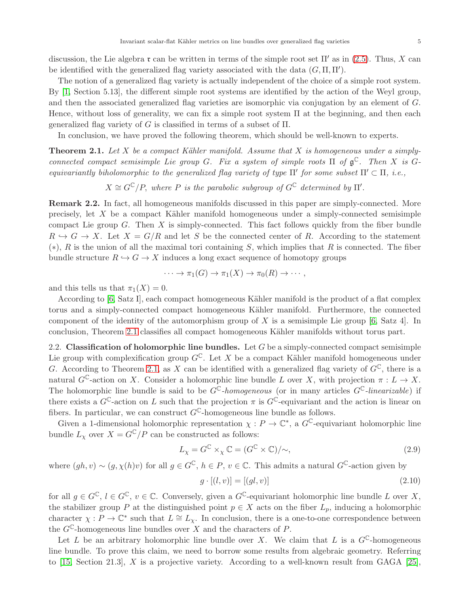discussion, the Lie algebra  $\mathfrak r$  can be written in terms of the simple root set  $\Pi'$  as in [\(2.5\)](#page-3-0). Thus, X can be identified with the generalized flag variety associated with the data  $(G, \Pi, \Pi')$ .

The notion of a generalized flag variety is actually independent of the choice of a simple root system. By [\[1,](#page-25-1) Section 5.13], the different simple root systems are identified by the action of the Weyl group, and then the associated generalized flag varieties are isomorphic via conjugation by an element of G. Hence, without loss of generality, we can fix a simple root system  $\Pi$  at the beginning, and then each generalized flag variety of G is classified in terms of a subset of  $\Pi$ .

In conclusion, we have proved the following theorem, which should be well-known to experts.

<span id="page-4-2"></span>**Theorem 2.1.** Let X be a compact Kähler manifold. Assume that X is homogeneous under a simplyconnected compact semisimple Lie group G. Fix a system of simple roots  $\Pi$  of  $\mathfrak{g}^{\mathbb{C}}$ . Then X is Gequivariantly biholomorphic to the generalized flag variety of type  $\Pi'$  for some subset  $\Pi' \subset \Pi$ , i.e.,

 $X \cong G^{\mathbb{C}}/P$ , where P is the parabolic subgroup of  $G^{\mathbb{C}}$  determined by  $\Pi'$ .

<span id="page-4-1"></span>Remark 2.2. In fact, all homogeneous manifolds discussed in this paper are simply-connected. More precisely, let  $X$  be a compact Kähler manifold homogeneous under a simply-connected semisimple compact Lie group  $G$ . Then  $X$  is simply-connected. This fact follows quickly from the fiber bundle  $R \hookrightarrow G \to X$ . Let  $X = G/R$  and let S be the connected center of R. According to the statement  $(*), R$  is the union of all the maximal tori containing S, which implies that R is connected. The fiber bundle structure  $R \hookrightarrow G \to X$  induces a long exact sequence of homotopy groups

$$
\cdots \to \pi_1(G) \to \pi_1(X) \to \pi_0(R) \to \cdots,
$$

and this tells us that  $\pi_1(X) = 0$ .

According to [\[6,](#page-26-17) Satz I], each compact homogeneous Kähler manifold is the product of a flat complex torus and a simply-connected compact homogeneous K¨ahler manifold. Furthermore, the connected component of the identity of the automorphism group of X is a semisimple Lie group  $[6, Satz 4]$ . In conclusion, Theorem [2.1](#page-4-2) classifies all compact homogeneous Kähler manifolds without torus part.

<span id="page-4-0"></span>2.2. Classification of holomorphic line bundles. Let  $G$  be a simply-connected compact semisimple Lie group with complexification group  $G^{\mathbb{C}}$ . Let X be a compact Kähler manifold homogeneous under G. According to Theorem [2.1,](#page-4-2) as X can be identified with a generalized flag variety of  $G^{\mathbb{C}}$ , there is a natural  $G^{\mathbb{C}}$ -action on X. Consider a holomorphic line bundle L over X, with projection  $\pi: L \to X$ . The holomorphic line bundle is said to be  $G^{\mathbb{C}}$ -homogeneous (or in many articles  $G^{\mathbb{C}}$ -linearizable) if there exists a  $G^{\mathbb{C}}$ -action on L such that the projection  $\pi$  is  $G^{\mathbb{C}}$ -equivariant and the action is linear on fibers. In particular, we can construct  $G^{\mathbb{C}}$ -homogeneous line bundle as follows.

Given a 1-dimensional holomorphic representation  $\chi : P \to \mathbb{C}^*$ , a  $G^{\mathbb{C}}$ -equivariant holomorphic line bundle  $L_X$  over  $X = G^{\mathbb{C}}/P$  can be constructed as follows:

$$
L_{\chi} = G^{\mathbb{C}} \times_{\chi} \mathbb{C} = (G^{\mathbb{C}} \times \mathbb{C})/\sim,
$$
\n(2.9)

where  $(gh, v) \sim (g, \chi(h)v)$  for all  $g \in G^{\mathbb{C}}$ ,  $h \in P$ ,  $v \in \mathbb{C}$ . This admits a natural  $G^{\mathbb{C}}$ -action given by

<span id="page-4-4"></span><span id="page-4-3"></span>
$$
g \cdot [(l, v)] = [(gl, v)] \tag{2.10}
$$

for all  $g \in G^{\mathbb{C}}$ ,  $l \in G^{\mathbb{C}}$ ,  $v \in \mathbb{C}$ . Conversely, given a  $G^{\mathbb{C}}$ -equivariant holomorphic line bundle L over X, the stabilizer group P at the distinguished point  $p \in X$  acts on the fiber  $L_p$ , inducing a holomorphic character  $\chi : P \to \mathbb{C}^*$  such that  $L \cong L_{\chi}$ . In conclusion, there is a one-to-one correspondence between the  $G^{\mathbb{C}}$ -homogeneous line bundles over X and the characters of P.

Let L be an arbitrary holomorphic line bundle over X. We claim that L is a  $G^{\mathbb{C}}$ -homogeneous line bundle. To prove this claim, we need to borrow some results from algebraic geometry. Referring to [\[15,](#page-26-18) Section 21.3], X is a projective variety. According to a well-known result from GAGA [\[25\]](#page-26-19),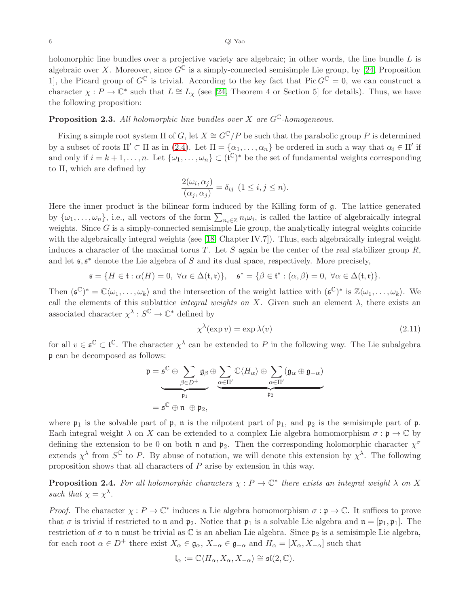holomorphic line bundles over a projective variety are algebraic; in other words, the line bundle  $L$  is algebraic over X. Moreover, since  $G^{\mathbb{C}}$  is a simply-connected semisimple Lie group, by [\[24,](#page-26-20) Proposition 1, the Picard group of  $G^{\mathbb{C}}$  is trivial. According to the key fact that  $Pic G^{\mathbb{C}} = 0$ , we can construct a character  $\chi : P \to \mathbb{C}^*$  such that  $L \cong L_{\chi}$  (see [\[24,](#page-26-20) Theorem 4 or Section 5] for details). Thus, we have the following proposition:

# **Proposition 2.3.** All holomorphic line bundles over X are  $G^{\mathbb{C}}$ -homogeneous.

Fixing a simple root system  $\Pi$  of G, let  $X \cong G^{\mathbb{C}}/P$  be such that the parabolic group P is determined by a subset of roots  $\Pi' \subset \Pi$  as in [\(2.4\)](#page-2-0). Let  $\Pi = {\alpha_1, \ldots, \alpha_n}$  be ordered in such a way that  $\alpha_i \in \Pi'$  if and only if  $i = k + 1, \ldots, n$ . Let  $\{\omega_1, \ldots, \omega_n\} \subset (\mathfrak{t}^{\mathbb{C}})^*$  be the set of fundamental weights corresponding to Π, which are defined by

$$
\frac{2(\omega_i, \alpha_j)}{(\alpha_j, \alpha_j)} = \delta_{ij} \ (1 \le i, j \le n).
$$

Here the inner product is the bilinear form induced by the Killing form of g. The lattice generated by  $\{\omega_1,\ldots,\omega_n\}$ , i.e., all vectors of the form  $\sum_{n_i\in\mathbb{Z}}n_i\omega_i$ , is called the lattice of algebraically integral weights. Since  $G$  is a simply-connected semisimple Lie group, the analytically integral weights coincide with the algebraically integral weights (see [\[18,](#page-26-15) Chapter IV.7]). Thus, each algebraically integral weight induces a character of the maximal torus T. Let S again be the center of the real stabilizer group  $R$ , and let  $\mathfrak{s}, \mathfrak{s}^*$  denote the Lie algebra of S and its dual space, respectively. More precisely,

$$
\mathfrak{s}=\{H\in \mathfrak{t}:\alpha(H)=0,\;\forall \alpha\in \Delta(\mathfrak{t},\mathfrak{r})\},\quad \mathfrak{s}^*=\{\beta\in \mathfrak{t}^*:(\alpha,\beta)=0,\;\forall \alpha\in \Delta(\mathfrak{t},\mathfrak{r})\}.
$$

Then  $(\mathfrak{s}^{\mathbb{C}})^* = \mathbb{C}\langle \omega_1,\ldots,\omega_k \rangle$  and the intersection of the weight lattice with  $(\mathfrak{s}^{\mathbb{C}})^*$  is  $\mathbb{Z}\langle \omega_1,\ldots,\omega_k \rangle$ . We call the elements of this sublattice *integral weights on X*. Given such an element  $\lambda$ , there exists an associated character  $\chi^{\lambda}: S^{\mathbb{C}} \to \mathbb{C}^*$  defined by

$$
\chi^{\lambda}(\exp v) = \exp \lambda(v) \tag{2.11}
$$

for all  $v \in \mathfrak{s}^{\mathbb{C}} \subset \mathfrak{t}^{\mathbb{C}}$ . The character  $\chi^{\lambda}$  can be extended to P in the following way. The Lie subalgebra p can be decomposed as follows:

$$
\mathfrak{p} = \mathfrak{s}^{\mathbb{C}} \oplus \sum_{\beta \in D^{+}} \mathfrak{g}_{\beta} \oplus \sum_{\alpha \in \Pi'} \mathbb{C} \langle H_{\alpha} \rangle \oplus \sum_{\alpha \in \Pi'} (\mathfrak{g}_{\alpha} \oplus \mathfrak{g}_{-\alpha})
$$

$$
= \mathfrak{s}^{\mathbb{C}} \oplus \mathfrak{n} \oplus \mathfrak{p}_{2},
$$

where  $\mathfrak{p}_1$  is the solvable part of  $\mathfrak{p}$ ,  $\mathfrak{n}$  is the nilpotent part of  $\mathfrak{p}_1$ , and  $\mathfrak{p}_2$  is the semisimple part of  $\mathfrak{p}$ . Each integral weight  $\lambda$  on X can be extended to a complex Lie algebra homomorphism  $\sigma : \mathfrak{p} \to \mathbb{C}$  by defining the extension to be 0 on both n and  $\mathfrak{p}_2$ . Then the corresponding holomorphic character  $\chi^{\sigma}$ extends  $\chi^{\lambda}$  from  $S^{\mathbb{C}}$  to P. By abuse of notation, we will denote this extension by  $\chi^{\lambda}$ . The following proposition shows that all characters of P arise by extension in this way.

**Proposition 2.4.** For all holomorphic characters  $\chi : P \to \mathbb{C}^*$  there exists an integral weight  $\lambda$  on X such that  $\chi = \chi^{\lambda}$ .

*Proof.* The character  $\chi : P \to \mathbb{C}^*$  induces a Lie algebra homomorphism  $\sigma : \mathfrak{p} \to \mathbb{C}$ . It suffices to prove that  $\sigma$  is trivial if restricted to  $\mathfrak n$  and  $\mathfrak p_2$ . Notice that  $\mathfrak p_1$  is a solvable Lie algebra and  $\mathfrak n = [\mathfrak p_1, \mathfrak p_1]$ . The restriction of  $\sigma$  to n must be trivial as  $\mathbb C$  is an abelian Lie algebra. Since  $\mathfrak{p}_2$  is a semisimple Lie algebra, for each root  $\alpha \in D^+$  there exist  $X_{\alpha} \in \mathfrak{g}_{\alpha}, X_{-\alpha} \in \mathfrak{g}_{-\alpha}$  and  $H_{\alpha} = [X_{\alpha}, X_{-\alpha}]$  such that

$$
\mathfrak{l}_{\alpha}:=\mathbb{C}\langle H_{\alpha}, X_{\alpha}, X_{-\alpha}\rangle\cong \mathfrak{sl}(2,\mathbb{C}).
$$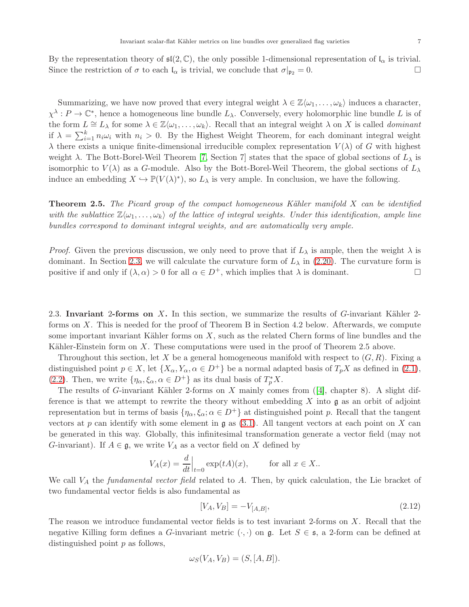By the representation theory of  $\mathfrak{sl}(2,\mathbb{C})$ , the only possible 1-dimensional representation of  $\mathfrak{l}_{\alpha}$  is trivial. Since the restriction of  $\sigma$  to each  $\mathfrak{l}_{\alpha}$  is trivial, we conclude that  $\sigma|_{\mathfrak{p}_2} = 0$ .

Summarizing, we have now proved that every integral weight  $\lambda \in \mathbb{Z}\langle \omega_1, \ldots, \omega_k \rangle$  induces a character,  $\chi^{\lambda}: P \to \mathbb{C}^*$ , hence a homogeneous line bundle  $L_{\lambda}$ . Conversely, every holomorphic line bundle L is of the form  $L \cong L_\lambda$  for some  $\lambda \in \mathbb{Z}\langle \omega_1,\ldots,\omega_k \rangle$ . Recall that an integral weight  $\lambda$  on X is called *dominant* if  $\lambda = \sum_{i=1}^{k} n_i \omega_i$  with  $n_i > 0$ . By the Highest Weight Theorem, for each dominant integral weight  $\lambda$  there exists a unique finite-dimensional irreducible complex representation  $V(\lambda)$  of G with highest weight  $\lambda$ . The Bott-Borel-Weil Theorem [\[7,](#page-26-21) Section 7] states that the space of global sections of  $L_{\lambda}$  is isomorphic to  $V(\lambda)$  as a G-module. Also by the Bott-Borel-Weil Theorem, the global sections of  $L_{\lambda}$ induce an embedding  $X \hookrightarrow \mathbb{P}(V(\lambda)^*)$ , so  $L_\lambda$  is very ample. In conclusion, we have the following.

<span id="page-6-2"></span>**Theorem 2.5.** The Picard group of the compact homogeneous Kähler manifold X can be identified with the sublattice  $\mathbb{Z}\langle\omega_1,\ldots,\omega_k\rangle$  of the lattice of integral weights. Under this identification, ample line bundles correspond to dominant integral weights, and are automatically very ample.

*Proof.* Given the previous discussion, we only need to prove that if  $L_{\lambda}$  is ample, then the weight  $\lambda$  is dominant. In Section [2.3,](#page-6-0) we will calculate the curvature form of  $L_{\lambda}$  in [\(2.20\)](#page-8-0). The curvature form is positive if and only if  $(\lambda, \alpha) > 0$  for all  $\alpha \in D^+$ , which implies that  $\lambda$  is dominant.

<span id="page-6-0"></span>2.3. Invariant 2-forms on X. In this section, we summarize the results of  $G$ -invariant Kähler 2forms on X. This is needed for the proof of Theorem B in Section 4.2 below. Afterwards, we compute some important invariant Kähler forms on  $X$ , such as the related Chern forms of line bundles and the Kähler-Einstein form on  $X$ . These computations were used in the proof of Theorem 2.5 above.

Throughout this section, let X be a general homogeneous manifold with respect to  $(G, R)$ . Fixing a distinguished point  $p \in X$ , let  $\{X_{\alpha}, Y_{\alpha}, \alpha \in D^+\}$  be a normal adapted basis of  $T_pX$  as defined in [\(2.1\)](#page-2-1), [\(2.2\)](#page-2-2). Then, we write  $\{\eta_{\alpha}, \xi_{\alpha}, \alpha \in D^+\}$  as its dual basis of  $T_p^*X$ .

Theresults of G-invariant Kähler 2-forms on X mainly comes from  $(4]$ , chapter 8). A slight difference is that we attempt to rewrite the theory without embedding  $X$  into  $\mathfrak g$  as an orbit of adjoint representation but in terms of basis  $\{\eta_\alpha, \xi_\alpha; \alpha \in D^+\}$  at distinguished point p. Recall that the tangent vectors at p can identify with some element in  $\mathfrak g$  as [\(3.1\)](#page-10-0). All tangent vectors at each point on X can be generated in this way. Globally, this infinitesimal transformation generate a vector field (may not G-invariant). If  $A \in \mathfrak{g}$ , we write  $V_A$  as a vector field on X defined by

$$
V_A(x) = \frac{d}{dt}\Big|_{t=0} \exp(tA)(x), \qquad \text{for all } x \in X.
$$

We call  $V_A$  the *fundamental vector field* related to  $A$ . Then, by quick calculation, the Lie bracket of two fundamental vector fields is also fundamental as

<span id="page-6-1"></span>
$$
[V_A, V_B] = -V_{[A,B]}, \tag{2.12}
$$

The reason we introduce fundamental vector fields is to test invariant 2-forms on X. Recall that the negative Killing form defines a G-invariant metric  $(\cdot, \cdot)$  on g. Let  $S \in \mathfrak{s}$ , a 2-form can be defined at distinguished point  $p$  as follows,

$$
\omega_S(V_A, V_B) = (S, [A, B]).
$$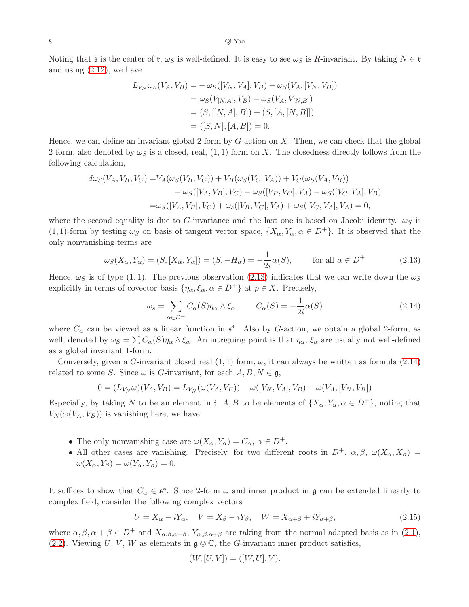Noting that s is the center of r,  $\omega_S$  is well-defined. It is easy to see  $\omega_S$  is R-invariant. By taking  $N \in \mathfrak{r}$ and using [\(2.12\)](#page-6-1), we have

$$
L_{V_N} \omega_S(V_A, V_B) = -\omega_S([V_N, V_A], V_B) - \omega_S(V_A, [V_N, V_B])
$$
  
=  $\omega_S(V_{[N,A]}, V_B) + \omega_S(V_A, V_{[N,B]})$   
=  $(S, [[N, A], B]) + (S, [A, [N, B]])$   
=  $([S, N], [A, B]) = 0$ .

Hence, we can define an invariant global 2-form by  $G$ -action on  $X$ . Then, we can check that the global 2-form, also denoted by  $\omega_S$  is a closed, real, (1, 1) form on X. The closedness directly follows from the following calculation,

$$
d\omega_S(V_A, V_B, V_C) = V_A(\omega_S(V_B, V_C)) + V_B(\omega_S(V_C, V_A)) + V_C(\omega_S(V_A, V_B))
$$
  
-  $\omega_S([V_A, V_B], V_C) - \omega_S([V_B, V_C], V_A) - \omega_S([V_C, V_A], V_B)$   
=  $\omega_S([V_A, V_B], V_C) + \omega_s([V_B, V_C], V_A) + \omega_S([V_C, V_A], V_A) = 0,$ 

where the second equality is due to G-invariance and the last one is based on Jacobi identity.  $\omega_S$  is (1, 1)-form by testing  $\omega_S$  on basis of tangent vector space,  $\{X_\alpha, Y_\alpha, \alpha \in D^+\}$ . It is observed that the only nonvanishing terms are

$$
\omega_S(X_\alpha, Y_\alpha) = (S, [X_\alpha, Y_\alpha]) = (S, -H_\alpha) = -\frac{1}{2i}\alpha(S), \quad \text{for all } \alpha \in D^+ \tag{2.13}
$$

Hence,  $\omega_S$  is of type (1, 1). The previous observation [\(2.13\)](#page-7-0) indicates that we can write down the  $\omega_S$ explicitly in terms of covector basis  $\{\eta_{\alpha}, \xi_{\alpha}, \alpha \in D^+\}$  at  $p \in X$ . Precisely,

<span id="page-7-1"></span><span id="page-7-0"></span>
$$
\omega_s = \sum_{\alpha \in D^+} C_{\alpha}(S) \eta_{\alpha} \wedge \xi_{\alpha}, \qquad C_{\alpha}(S) = -\frac{1}{2i} \alpha(S) \tag{2.14}
$$

where  $C_{\alpha}$  can be viewed as a linear function in  $\mathfrak{s}^*$ . Also by G-action, we obtain a global 2-form, as well, denoted by  $\omega_S = \sum C_\alpha(S) \eta_\alpha \wedge \xi_\alpha$ . An intriguing point is that  $\eta_\alpha$ ,  $\xi_\alpha$  are usually not well-defined as a global invariant 1-form.

Conversely, given a G-invariant closed real  $(1,1)$  form,  $\omega$ , it can always be written as formula  $(2.14)$ related to some S. Since  $\omega$  is G-invariant, for each  $A, B, N \in \mathfrak{g}$ ,

$$
0 = (L_{V_N}\omega)(V_A, V_B) = L_{V_N}(\omega(V_A, V_B)) - \omega([V_N, V_A], V_B) - \omega(V_A, [V_N, V_B])
$$

Especially, by taking N to be an element in t, A, B to be elements of  $\{X_{\alpha}, Y_{\alpha}, \alpha \in D^+\}$ , noting that  $V_N(\omega(V_A, V_B))$  is vanishing here, we have

- The only nonvanishing case are  $\omega(X_{\alpha}, Y_{\alpha}) = C_{\alpha}, \alpha \in D^{+}$ .
- All other cases are vanishing. Precisely, for two different roots in  $D^+$ ,  $\alpha, \beta, \omega(X_\alpha, X_\beta)$  =  $\omega(X_{\alpha}, Y_{\beta}) = \omega(Y_{\alpha}, Y_{\beta}) = 0.$

It suffices to show that  $C_{\alpha} \in \mathfrak{s}^*$ . Since 2-form  $\omega$  and inner product in  $\mathfrak{g}$  can be extended linearly to complex field, consider the following complex vectors

$$
U = X_{\alpha} - iY_{\alpha}, \quad V = X_{\beta} - iY_{\beta}, \quad W = X_{\alpha + \beta} + iY_{\alpha + \beta}, \tag{2.15}
$$

where  $\alpha, \beta, \alpha + \beta \in D^+$  and  $X_{\alpha, \beta, \alpha + \beta}$ ,  $Y_{\alpha, \beta, \alpha + \beta}$  are taking from the normal adapted basis as in [\(2.1\)](#page-2-1), [\(2.2\)](#page-2-2). Viewing U, V, W as elements in  $\mathfrak{g} \otimes \mathbb{C}$ , the G-invariant inner product satisfies,

<span id="page-7-2"></span>
$$
(W, [U, V]) = ([W, U], V).
$$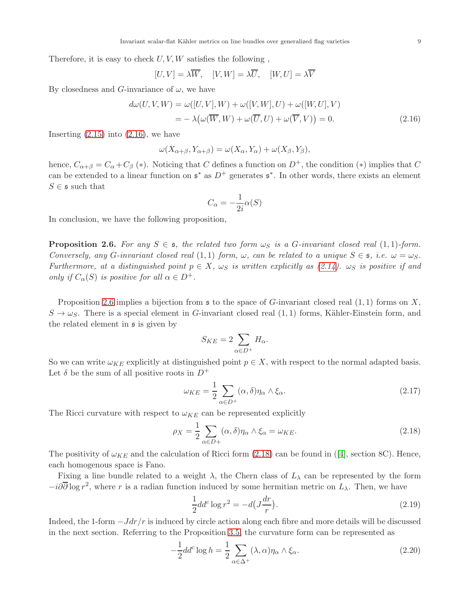Therefore, it is easy to check  $U, V, W$  satisfies the following,

$$
[U, V] = \lambda \overline{W}, \quad [V, W] = \lambda \overline{U}, \quad [W, U] = \lambda \overline{V}
$$

By closedness and G-invariance of  $\omega$ , we have

$$
d\omega(U, V, W) = \omega([U, V], W) + \omega([V, W], U) + \omega([W, U], V)
$$
  
=  $-\lambda(\omega(\overline{W}, W) + \omega(\overline{U}, U) + \omega(\overline{V}, V)) = 0.$  (2.16)

Inserting  $(2.15)$  into  $(2.16)$ , we have

$$
\omega(X_{\alpha+\beta}, Y_{\alpha+\beta}) = \omega(X_{\alpha}, Y_{\alpha}) + \omega(X_{\beta}, Y_{\beta}),
$$

hence,  $C_{\alpha+\beta} = C_{\alpha} + C_{\beta}$  (\*). Noticing that C defines a function on  $D^{+}$ , the condition (\*) implies that C can be extended to a linear function on  $\mathfrak{s}^*$  as  $D^+$  generates  $\mathfrak{s}^*$ . In other words, there exists an element  $S \in \mathfrak{s}$  such that

<span id="page-8-1"></span>
$$
C_{\alpha} = -\frac{1}{2i}\alpha(S)
$$

In conclusion, we have the following proposition,

<span id="page-8-2"></span>**Proposition 2.6.** For any  $S \in \mathfrak{s}$ , the related two form  $\omega_S$  is a G-invariant closed real  $(1,1)$ -form. Conversely, any G-invariant closed real  $(1,1)$  form,  $\omega$ , can be related to a unique  $S \in \mathfrak{s}$ , i.e.  $\omega = \omega_S$ . Furthermore, at a distinguished point  $p \in X$ ,  $\omega_S$  is written explicitly as [\(2.14\)](#page-7-1).  $\omega_S$  is positive if and only if  $C_{\alpha}(S)$  is positive for all  $\alpha \in D^{+}$ .

Proposition [2.6](#page-8-2) implies a bijection from  $\frak s$  to the space of G-invariant closed real  $(1,1)$  forms on X,  $S \to \omega_S$ . There is a special element in G-invariant closed real (1, 1) forms, Kähler-Einstein form, and the related element in  $\mathfrak s$  is given by

<span id="page-8-4"></span><span id="page-8-3"></span>
$$
S_{KE} = 2 \sum_{\alpha \in D^+} H_\alpha.
$$

So we can write  $\omega_{KE}$  explicitly at distinguished point  $p \in X$ , with respect to the normal adapted basis. Let  $\delta$  be the sum of all positive roots in  $D^+$ 

$$
\omega_{KE} = \frac{1}{2} \sum_{\alpha \in D^{+}} (\alpha, \delta) \eta_{\alpha} \wedge \xi_{\alpha}.
$$
\n(2.17)

The Ricci curvature with respect to  $\omega_{KE}$  can be represented explicitly

$$
\rho_X = \frac{1}{2} \sum_{\alpha \in D+} (\alpha, \delta) \eta_\alpha \wedge \xi_\alpha = \omega_{KE}.
$$
\n(2.18)

Thepositivity of  $\omega_{KE}$  and the calculation of Ricci form [\(2.18\)](#page-8-3) can be found in ([\[4\]](#page-26-11), section 8C). Hence, each homogenous space is Fano.

Fixing a line bundle related to a weight  $\lambda$ , the Chern class of  $L_{\lambda}$  can be represented by the form  $-i\partial\overline{\partial}\log r^2$ , where r is a radian function induced by some hermitian metric on  $L_\lambda$ . Then, we have

<span id="page-8-0"></span>
$$
\frac{1}{2}dd^c \log r^2 = -d\left(J\frac{dr}{r}\right).
$$
\n(2.19)

Indeed, the 1-form  $-Jdr/r$  is induced by circle action along each fibre and more details will be discussed in the next section. Referring to the Proposition [3.5,](#page-14-0) the curvature form can be represented as

$$
-\frac{1}{2}dd^c \log h = \frac{1}{2} \sum_{\alpha \in \Delta^+} (\lambda, \alpha) \eta_\alpha \wedge \xi_\alpha.
$$
 (2.20)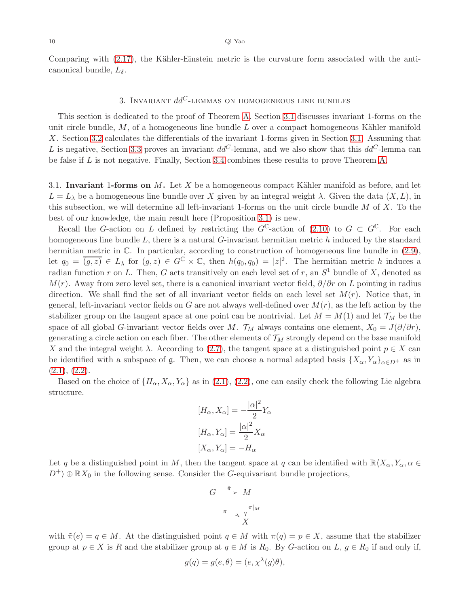Comparing with  $(2.17)$ , the Kähler-Einstein metric is the curvature form associated with the anticanonical bundle,  $L_{\delta}$ .

# 3. INVARIANT  $dd^C$ -LEMMAS ON HOMOGENEOUS LINE BUNDLES

<span id="page-9-0"></span>This section is dedicated to the proof of Theorem [A.](#page-0-0) Section [3.1](#page-9-1) discusses invariant 1-forms on the unit circle bundle,  $M$ , of a homogeneous line bundle  $L$  over a compact homogeneous Kähler manifold X. Section [3.2](#page-13-0) calculates the differentials of the invariant 1-forms given in Section [3.1.](#page-9-1) Assuming that L is negative, Section [3.3](#page-15-0) proves an invariant  $dd^C$ -lemma, and we also show that this  $dd^C$ -lemma can be false if L is not negative. Finally, Section [3.4](#page-18-0) combines these results to prove Theorem [A.](#page-0-0)

<span id="page-9-1"></span>3.1. Invariant 1-forms on  $M$ . Let  $X$  be a homogeneous compact Kähler manifold as before, and let  $L = L_{\lambda}$  be a homogeneous line bundle over X given by an integral weight  $\lambda$ . Given the data  $(X, L)$ , in this subsection, we will determine all left-invariant 1-forms on the unit circle bundle  $M$  of  $X$ . To the best of our knowledge, the main result here (Proposition [3.1\)](#page-10-1) is new.

Recall the G-action on L defined by restricting the  $G^{\mathbb{C}}$ -action of [\(2.10\)](#page-4-3) to  $G \subset G^{\mathbb{C}}$ . For each homogeneous line bundle  $L$ , there is a natural  $G$ -invariant hermitian metric  $h$  induced by the standard hermitian metric in  $\mathbb{C}$ . In particular, according to construction of homogeneous line bundle in  $(2.9)$ , let  $q_0 = (g, z) \in L_\lambda$  for  $(g, z) \in G^{\mathbb{C}} \times \mathbb{C}$ , then  $h(q_0, q_0) = |z|^2$ . The hermitian metric h induces a radian function r on L. Then, G acts transitively on each level set of r, an  $S<sup>1</sup>$  bundle of X, denoted as  $M(r)$ . Away from zero level set, there is a canonical invariant vector field,  $\partial/\partial r$  on L pointing in radius direction. We shall find the set of all invariant vector fields on each level set  $M(r)$ . Notice that, in general, left-invariant vector fields on G are not always well-defined over  $M(r)$ , as the left action by the stabilizer group on the tangent space at one point can be nontrivial. Let  $M = M(1)$  and let  $\mathcal{T}_M$  be the space of all global G-invariant vector fields over M.  $\mathcal{T}_M$  always contains one element,  $X_0 = J(\partial/\partial r)$ , generating a circle action on each fiber. The other elements of  $\mathcal{T}_M$  strongly depend on the base manifold X and the integral weight  $\lambda$ . According to [\(2.7\)](#page-3-1), the tangent space at a distinguished point  $p \in X$  can be identified with a subspace of g. Then, we can choose a normal adapted basis  $\{X_\alpha, Y_\alpha\}_{\alpha\in D^+}$  as in  $(2.1), (2.2).$  $(2.1), (2.2).$  $(2.1), (2.2).$  $(2.1), (2.2).$ 

Based on the choice of  $\{H_{\alpha}, X_{\alpha}, Y_{\alpha}\}\$ as in [\(2.1\)](#page-2-1), [\(2.2\)](#page-2-2), one can easily check the following Lie algebra structure.

$$
[H_{\alpha}, X_{\alpha}] = -\frac{|\alpha|^2}{2} Y_{\alpha}
$$

$$
[H_{\alpha}, Y_{\alpha}] = \frac{|\alpha|^2}{2} X_{\alpha}
$$

$$
[X_{\alpha}, Y_{\alpha}] = -H_{\alpha}
$$

Let q be a distinguished point in M, then the tangent space at q can be identified with  $\mathbb{R}\langle X_\alpha, Y_\alpha, \alpha \in$  $D^+\rangle \oplus \mathbb{R}X_0$  in the following sense. Consider the G-equivariant bundle projections,

$$
G \xrightarrow{\tilde{\pi}} M
$$

$$
\pi \xrightarrow{\pi |_{M}}
$$

$$
X
$$

with  $\tilde{\pi}(e) = q \in M$ . At the distinguished point  $q \in M$  with  $\pi(q) = p \in X$ , assume that the stabilizer group at  $p \in X$  is R and the stabilizer group at  $q \in M$  is  $R_0$ . By G-action on  $L, g \in R_0$  if and only if,

$$
g(q) = g(e, \theta) = (e, \chi^{\lambda}(g)\theta),
$$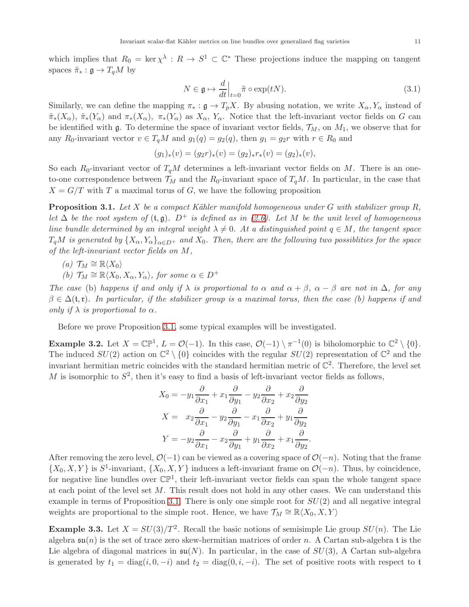which implies that  $R_0 = \ker \chi^{\lambda} : R \to S^1 \subset \mathbb{C}^*$  These projections induce the mapping on tangent spaces  $\tilde{\pi}_* : \mathfrak{g} \to T_qM$  by

<span id="page-10-0"></span>
$$
N \in \mathfrak{g} \mapsto \frac{d}{dt}\Big|_{t=0} \tilde{\pi} \circ \exp(tN). \tag{3.1}
$$

Similarly, we can define the mapping  $\pi_* : \mathfrak{g} \to T_pX$ . By abusing notation, we write  $X_\alpha, Y_\alpha$  instead of  $\tilde{\pi}_*(X_\alpha)$ ,  $\tilde{\pi}_*(Y_\alpha)$  and  $\pi_*(X_\alpha)$ ,  $\pi_*(Y_\alpha)$  as  $X_\alpha$ ,  $Y_\alpha$ . Notice that the left-invariant vector fields on G can be identified with  $\mathfrak g$ . To determine the space of invariant vector fields,  $\mathcal T_M$ , on  $M_1$ , we observe that for any R<sub>0</sub>-invariant vector  $v \in T_qM$  and  $g_1(q) = g_2(q)$ , then  $g_1 = g_2r$  with  $r \in R_0$  and

$$
(g_1)_*(v) = (g_2r)_*(v) = (g_2)_*r_*(v) = (g_2)_*(v),
$$

So each  $R_0$ -invariant vector of  $T_qM$  determines a left-invariant vector fields on M. There is an oneto-one correspondence between  $\mathcal{T}_M$  and the  $R_0$ -invariant space of  $T_qM$ . In particular, in the case that  $X = G/T$  with T a maximal torus of G, we have the following proposition

<span id="page-10-1"></span>**Proposition 3.1.** Let X be a compact Kähler manifold homogeneous under G with stabilizer group R, let  $\Delta$  be the root system of  $(t, \mathfrak{g})$ .  $D^+$  is defined as in [\(2.6\)](#page-3-2). Let M be the unit level of homogeneous line bundle determined by an integral weight  $\lambda \neq 0$ . At a distinguished point  $q \in M$ , the tangent space  $T_qM$  is generated by  $\{X_\alpha, Y_\alpha\}_{\alpha\in D^+}$  and  $X_0$ . Then, there are the following two possiblities for the space of the left-invariant vector fields on M,

(a) 
$$
\mathcal{T}_M \cong \mathbb{R}\langle X_0 \rangle
$$

(b)  $\mathcal{T}_M \cong \mathbb{R}\langle X_0, X_\alpha, Y_\alpha \rangle$ , for some  $\alpha \in D^+$ 

The case (b) happens if and only if  $\lambda$  is proportional to  $\alpha$  and  $\alpha + \beta$ ,  $\alpha - \beta$  are not in  $\Delta$ , for any  $\beta \in \Delta(\mathfrak{t}, \mathfrak{r})$ . In particular, if the stabilizer group is a maximal torus, then the case (b) happens if and only if  $\lambda$  is proportional to  $\alpha$ .

Before we prove Proposition [3.1,](#page-10-1) some typical examples will be investigated.

**Example 3.2.** Let  $X = \mathbb{CP}^1$ ,  $L = \mathcal{O}(-1)$ . In this case,  $\mathcal{O}(-1) \setminus \pi^{-1}(0)$  is biholomorphic to  $\mathbb{C}^2 \setminus \{0\}$ . The induced  $SU(2)$  action on  $\mathbb{C}^2 \setminus \{0\}$  coincides with the regular  $SU(2)$  representation of  $\mathbb{C}^2$  and the invariant hermitian metric coincides with the standard hermitian metric of  $\mathbb{C}^2$ . Therefore, the level set M is isomorphic to  $S^2$ , then it's easy to find a basis of left-invariant vector fields as follows,

$$
X_0 = -y_1 \frac{\partial}{\partial x_1} + x_1 \frac{\partial}{\partial y_1} - y_2 \frac{\partial}{\partial x_2} + x_2 \frac{\partial}{\partial y_2}
$$
  
\n
$$
X = x_2 \frac{\partial}{\partial x_1} - y_2 \frac{\partial}{\partial y_1} - x_1 \frac{\partial}{\partial x_2} + y_1 \frac{\partial}{\partial y_2}
$$
  
\n
$$
Y = -y_2 \frac{\partial}{\partial x_1} - x_2 \frac{\partial}{\partial y_1} + y_1 \frac{\partial}{\partial x_2} + x_1 \frac{\partial}{\partial y_2}.
$$

After removing the zero level,  $\mathcal{O}(-1)$  can be viewed as a covering space of  $\mathcal{O}(-n)$ . Noting that the frame  $\{X_0, X, Y\}$  is  $S^1$ -invariant,  $\{X_0, X, Y\}$  induces a left-invariant frame on  $\mathcal{O}(-n)$ . Thus, by coincidence, for negative line bundles over  $\mathbb{CP}^1$ , their left-invariant vector fields can span the whole tangent space at each point of the level set M. This result does not hold in any other cases. We can understand this example in terms of Proposition [3.1.](#page-10-1) There is only one simple root for  $SU(2)$  and all negative integral weights are proportional to the simple root. Hence, we have  $\mathcal{T}_M \cong \mathbb{R}\langle X_0, X, Y \rangle$ 

**Example 3.3.** Let  $X = SU(3)/T^2$ . Recall the basic notions of semisimple Lie group  $SU(n)$ . The Lie algebra  $\mathfrak{su}(n)$  is the set of trace zero skew-hermitian matrices of order n. A Cartan sub-algebra t is the Lie algebra of diagonal matrices in  $\mathfrak{su}(N)$ . In particular, in the case of  $SU(3)$ , A Cartan sub-algebra is generated by  $t_1 = \text{diag}(i, 0, -i)$  and  $t_2 = \text{diag}(0, i, -i)$ . The set of positive roots with respect to t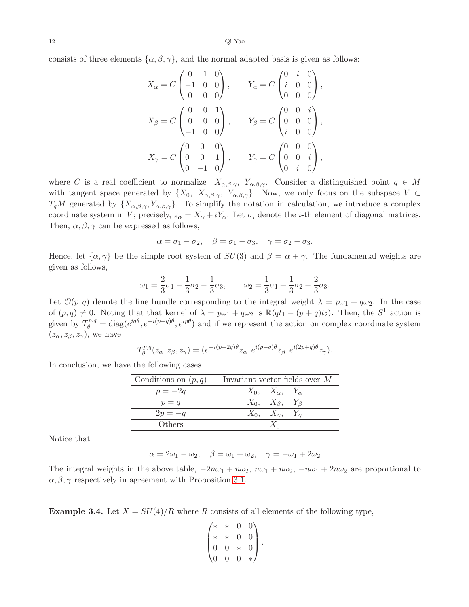consists of three elements  $\{\alpha, \beta, \gamma\}$ , and the normal adapted basis is given as follows:

$$
X_{\alpha} = C \begin{pmatrix} 0 & 1 & 0 \\ -1 & 0 & 0 \\ 0 & 0 & 0 \end{pmatrix}, \t Y_{\alpha} = C \begin{pmatrix} 0 & i & 0 \\ i & 0 & 0 \\ 0 & 0 & 0 \end{pmatrix},
$$
  
\n
$$
X_{\beta} = C \begin{pmatrix} 0 & 0 & 1 \\ 0 & 0 & 0 \\ -1 & 0 & 0 \end{pmatrix}, \t Y_{\beta} = C \begin{pmatrix} 0 & 0 & i \\ 0 & 0 & 0 \\ i & 0 & 0 \end{pmatrix},
$$
  
\n
$$
X_{\gamma} = C \begin{pmatrix} 0 & 0 & 0 \\ 0 & 0 & 1 \\ 0 & -1 & 0 \end{pmatrix}, \t Y_{\gamma} = C \begin{pmatrix} 0 & 0 & 0 \\ 0 & 0 & i \\ 0 & i & 0 \end{pmatrix},
$$

where C is a real coefficient to normalize  $X_{\alpha,\beta,\gamma}$ ,  $Y_{\alpha,\beta,\gamma}$ . Consider a distinguished point  $q \in M$ with tangent space generated by  $\{X_0, X_{\alpha,\beta,\gamma}, Y_{\alpha,\beta,\gamma}\}\$ . Now, we only focus on the subspace  $V \subset$  $T_qM$  generated by  $\{X_{\alpha,\beta,\gamma}, Y_{\alpha,\beta,\gamma}\}\.$  To simplify the notation in calculation, we introduce a complex coordinate system in V; precisely,  $z_{\alpha} = X_{\alpha} + iY_{\alpha}$ . Let  $\sigma_i$  denote the *i*-th element of diagonal matrices. Then,  $\alpha, \beta, \gamma$  can be expressed as follows,

$$
\alpha = \sigma_1 - \sigma_2, \quad \beta = \sigma_1 - \sigma_3, \quad \gamma = \sigma_2 - \sigma_3.
$$

Hence, let  $\{\alpha, \gamma\}$  be the simple root system of  $SU(3)$  and  $\beta = \alpha + \gamma$ . The fundamental weights are given as follows,

$$
\omega_1 = \frac{2}{3}\sigma_1 - \frac{1}{3}\sigma_2 - \frac{1}{3}\sigma_3, \qquad \omega_2 = \frac{1}{3}\sigma_1 + \frac{1}{3}\sigma_2 - \frac{2}{3}\sigma_3.
$$

Let  $\mathcal{O}(p,q)$  denote the line bundle corresponding to the integral weight  $\lambda = p\omega_1 + q\omega_2$ . In the case of  $(p,q) \neq 0$ . Noting that that kernel of  $\lambda = p\omega_1 + q\omega_2$  is  $\mathbb{R}\langle qt_1 - (p+q)t_2 \rangle$ . Then, the  $S^1$  action is given by  $T_{\theta}^{p,q} = \text{diag}(e^{iq\theta}, e^{-i(p+q)\theta}, e^{ip\theta})$  and if we represent the action on complex coordinate system  $(z_{\alpha}, z_{\beta}, z_{\gamma})$ , we have

$$
T^{p,q}_{\theta}(z_{\alpha},z_{\beta},z_{\gamma})=(e^{-i(p+2q)\theta}z_{\alpha},e^{i(p-q)\theta}z_{\beta},e^{i(2p+q)\theta}z_{\gamma}).
$$

In conclusion, we have the following cases

| Conditions on $(p, q)$ | Invariant vector fields over M |  |  |
|------------------------|--------------------------------|--|--|
| $p=-2q$                | $X_0, X_\alpha, Y_\alpha$      |  |  |
| $p = q$                | $X_0, X_\beta, Y_\beta$        |  |  |
| $2p = -q$              | $X_0, X_\gamma, Y_\gamma$      |  |  |
| Others                 |                                |  |  |

Notice that

 $\alpha = 2\omega_1 - \omega_2, \quad \beta = \omega_1 + \omega_2, \quad \gamma = -\omega_1 + 2\omega_2$ 

The integral weights in the above table,  $-2n\omega_1 + n\omega_2$ ,  $n\omega_1 + n\omega_2$ ,  $-n\omega_1 + 2n\omega_2$  are proportional to  $\alpha, \beta, \gamma$  respectively in agreement with Proposition [3.1.](#page-10-1)

**Example 3.4.** Let  $X = SU(4)/R$  where R consists of all elements of the following type,

$$
\begin{pmatrix} * & * & 0 & 0 \\ * & * & 0 & 0 \\ 0 & 0 & * & 0 \\ 0 & 0 & 0 & * \end{pmatrix}.
$$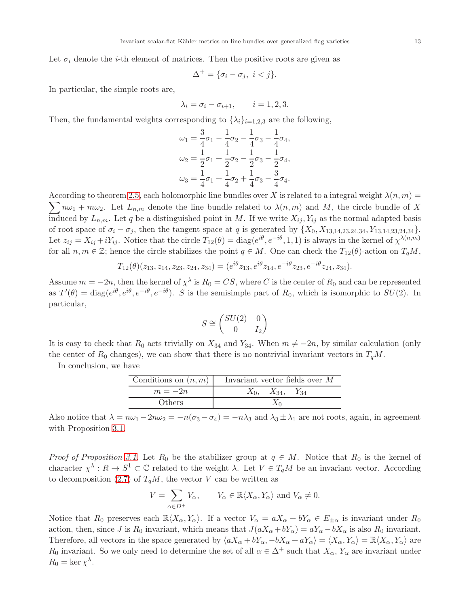Let  $\sigma_i$  denote the *i*-th element of matrices. Then the positive roots are given as

$$
\Delta^+ = \{\sigma_i - \sigma_j, \ i < j\}.
$$

In particular, the simple roots are,

$$
\lambda_i = \sigma_i - \sigma_{i+1}, \qquad i = 1, 2, 3.
$$

Then, the fundamental weights corresponding to  $\{\lambda_i\}_{i=1,2,3}$  are the following,

$$
\omega_1 = \frac{3}{4}\sigma_1 - \frac{1}{4}\sigma_2 - \frac{1}{4}\sigma_3 - \frac{1}{4}\sigma_4,
$$
  
\n
$$
\omega_2 = \frac{1}{2}\sigma_1 + \frac{1}{2}\sigma_2 - \frac{1}{2}\sigma_3 - \frac{1}{2}\sigma_4,
$$
  
\n
$$
\omega_3 = \frac{1}{4}\sigma_1 + \frac{1}{4}\sigma_2 + \frac{1}{4}\sigma_3 - \frac{3}{4}\sigma_4.
$$

 $\sum_{n=1}^{\infty} n \omega_1 + m \omega_2$ . Let  $L_{n,m}$  denote the line bundle related to  $\lambda(n,m)$  and M, the circle bundle of X According to theorem [2.5,](#page-6-2) each holomorphic line bundles over X is related to a integral weight  $\lambda(n, m)$ induced by  $L_{n,m}$ . Let q be a distinguished point in M. If we write  $X_{ij}$ ,  $Y_{ij}$  as the normal adapted basis of root space of  $\sigma_i - \sigma_j$ , then the tangent space at q is generated by  $\{X_0, X_{13,14,23,24,34}, Y_{13,14,23,24,34}\}.$ Let  $z_{ij} = X_{ij} + iY_{ij}$ . Notice that the circle  $T_{12}(\theta) = \text{diag}(e^{i\theta}, e^{-i\theta}, 1, 1)$  is always in the kernel of  $\chi^{\lambda(n,m)}$ for all  $n, m \in \mathbb{Z}$ ; hence the circle stabilizes the point  $q \in M$ . One can check the  $T_{12}(\theta)$ -action on  $T_qM$ ,

$$
T_{12}(\theta)(z_{13}, z_{14}, z_{23}, z_{24}, z_{34}) = (e^{i\theta}z_{13}, e^{i\theta}z_{14}, e^{-i\theta}z_{23}, e^{-i\theta}z_{24}, z_{34}).
$$

Assume  $m = -2n$ , then the kernel of  $\chi^{\lambda}$  is  $R_0 = CS$ , where C is the center of  $R_0$  and can be represented as  $T'(\theta) = \text{diag}(e^{i\theta}, e^{i\theta}, e^{-i\theta}, e^{-i\theta})$ . S is the semisimple part of  $R_0$ , which is isomorphic to  $SU(2)$ . In particular,

$$
S \cong \begin{pmatrix} SU(2) & 0 \\ 0 & I_2 \end{pmatrix}
$$

It is easy to check that  $R_0$  acts trivially on  $X_{34}$  and  $Y_{34}$ . When  $m \neq -2n$ , by similar calculation (only the center of  $R_0$  changes), we can show that there is no nontrivial invariant vectors in  $T_qM$ .

| Conditions on $(n, m)$ | Invariant vector fields over M |
|------------------------|--------------------------------|
| $m=-2n$                | $X_0$ , $X_{34}$ , $Y_{34}$    |
| Others                 |                                |

In conclusion, we have

Also notice that  $\lambda = n\omega_1 - 2n\omega_2 = -n(\sigma_3 - \sigma_4) = -n\lambda_3$  and  $\lambda_3 \pm \lambda_1$  are not roots, again, in agreement with Proposition [3.1.](#page-10-1)

*Proof of Proposition [3.1.](#page-10-1)* Let  $R_0$  be the stabilizer group at  $q \in M$ . Notice that  $R_0$  is the kernel of character  $\chi^{\lambda}: R \to S^1 \subset \mathbb{C}$  related to the weight  $\lambda$ . Let  $V \in T_qM$  be an invariant vector. According to decomposition [\(2.7\)](#page-3-1) of  $T_qM$ , the vector V can be written as

$$
V = \sum_{\alpha \in D^{+}} V_{\alpha}, \qquad V_{\alpha} \in \mathbb{R} \langle X_{\alpha}, Y_{\alpha} \rangle \text{ and } V_{\alpha} \neq 0.
$$

Notice that  $R_0$  preserves each  $\mathbb{R}\langle X_\alpha, Y_\alpha\rangle$ . If a vector  $V_\alpha = aX_\alpha + bY_\alpha \in E_{\pm\alpha}$  is invariant under  $R_0$ action, then, since J is R<sub>0</sub> invariant, which means that  $J(aX_{\alpha} + bY_{\alpha}) = aY_{\alpha} - bX_{\alpha}$  is also R<sub>0</sub> invariant. Therefore, all vectors in the space generated by  $\langle aX_{\alpha} + bY_{\alpha}, -bX_{\alpha} + aY_{\alpha} \rangle = \langle X_{\alpha}, Y_{\alpha} \rangle = \mathbb{R} \langle X_{\alpha}, Y_{\alpha} \rangle$  are  $R_0$  invariant. So we only need to determine the set of all  $\alpha \in \Delta^+$  such that  $X_\alpha, Y_\alpha$  are invariant under  $R_0 = \ker \chi^{\lambda}$ .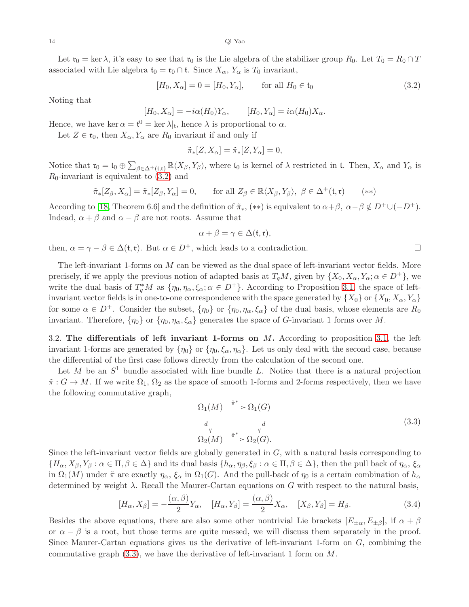Let  $\mathfrak{r}_0 = \ker \lambda$ , it's easy to see that  $\mathfrak{r}_0$  is the Lie algebra of the stabilizer group  $R_0$ . Let  $T_0 = R_0 \cap T$ associated with Lie algebra  $t_0 = \mathfrak{r}_0 \cap \mathfrak{t}$ . Since  $X_\alpha, Y_\alpha$  is  $T_0$  invariant,

$$
[H_0, X_{\alpha}] = 0 = [H_0, Y_{\alpha}], \quad \text{for all } H_0 \in \mathfrak{t}_0
$$
 (3.2)

Noting that

 $[H_0, X_{\alpha}] = -i\alpha(H_0)Y_{\alpha}, \qquad [H_0, Y_{\alpha}] = i\alpha(H_0)X_{\alpha}.$ 

Hence, we have ker  $\alpha = \mathfrak{t}^0 = \ker \lambda|_{\mathfrak{t}}$ , hence  $\lambda$  is proportional to  $\alpha$ .

Let  $Z \in \mathfrak{r}_0$ , then  $X_\alpha, Y_\alpha$  are  $R_0$  invariant if and only if

<span id="page-13-1"></span>
$$
\tilde{\pi}_*[Z, X_{\alpha}] = \tilde{\pi}_*[Z, Y_{\alpha}] = 0,
$$

Notice that  $\mathfrak{r}_0 = \mathfrak{t}_0 \oplus \sum_{\beta \in \Delta^+(\mathfrak{t},\mathfrak{r})} \mathbb{R}\langle X_\beta,Y_\beta\rangle$ , where  $\mathfrak{t}_0$  is kernel of  $\lambda$  restricted in  $\mathfrak{t}$ . Then,  $X_\alpha$  and  $Y_\alpha$  is  $R_0$ -invariant is equivalent to  $(3.2)$  and

$$
\tilde{\pi}_*[Z_\beta, X_\alpha] = \tilde{\pi}_*[Z_\beta, Y_\alpha] = 0, \qquad \text{for all } Z_\beta \in \mathbb{R}\langle X_\beta, Y_\beta \rangle, \ \beta \in \Delta^+(\mathfrak{t}, \mathfrak{r}) \tag{**}
$$

According to [\[18,](#page-26-15) Theorem 6.6] and the definition of  $\tilde{\pi}_{*}$ , (\*\*) is equivalent to  $\alpha+\beta$ ,  $\alpha-\beta \notin D^{+}\cup (-D^{+})$ . Indead,  $\alpha + \beta$  and  $\alpha - \beta$  are not roots. Assume that

$$
\alpha + \beta = \gamma \in \Delta(\mathfrak{t}, \mathfrak{r}),
$$

then,  $\alpha = \gamma - \beta \in \Delta(\mathfrak{t}, \mathfrak{r})$ . But  $\alpha \in D^+$ , which leads to a contradiction.

The left-invariant 1-forms on M can be viewed as the dual space of left-invariant vector fields. More precisely, if we apply the previous notion of adapted basis at  $T_qM$ , given by  $\{X_0, X_\alpha, Y_\alpha; \alpha \in D^+\}$ , we write the dual basis of  $T_q^*M$  as  $\{\eta_0, \eta_\alpha, \xi_\alpha; \alpha \in D^+\}$ . According to Proposition [3.1,](#page-10-1) the space of leftinvariant vector fields is in one-to-one correspondence with the space generated by  $\{X_0\}$  or  $\{X_0, X_\alpha, Y_\alpha\}$ for some  $\alpha \in D^+$ . Consider the subset,  $\{\eta_0\}$  or  $\{\eta_0, \eta_\alpha, \xi_\alpha\}$  of the dual basis, whose elements are  $R_0$ invariant. Therefore,  $\{\eta_0\}$  or  $\{\eta_0, \eta_\alpha, \xi_\alpha\}$  generates the space of G-invariant 1 forms over M.

<span id="page-13-0"></span>3.2. The differentials of left invariant 1-forms on  $M$ . According to proposition [3.1,](#page-10-1) the left invariant 1-forms are generated by  $\{\eta_0\}$  or  $\{\eta_0, \xi_\alpha, \eta_\alpha\}$ . Let us only deal with the second case, because the differential of the first case follows directly from the calculation of the second one.

Let M be an  $S^1$  bundle associated with line bundle L. Notice that there is a natural projection  $\tilde{\pi}: G \to M$ . If we write  $\Omega_1, \Omega_2$  as the space of smooth 1-forms and 2-forms respectively, then we have the following commutative graph,

<span id="page-13-2"></span>
$$
\Omega_1(M) \stackrel{\tilde{\pi}^*}{\longrightarrow} \Omega_1(G)
$$
\n
$$
\begin{array}{cc}\n d & d \\
\vee & \vee \\
\Omega_2(M) & \tilde{\pi}^* > \Omega_2(G).\n\end{array} \tag{3.3}
$$

Since the left-invariant vector fields are globally generated in  $G$ , with a natural basis corresponding to  ${H_{\alpha}, X_{\beta}, Y_{\beta} : \alpha \in \Pi, \beta \in \Delta}$  and its dual basis  ${h_{\alpha}, \eta_{\beta}, \xi_{\beta} : \alpha \in \Pi, \beta \in \Delta}$ , then the pull back of  $\eta_{\alpha}, \xi_{\alpha}$ in  $\Omega_1(M)$  under  $\tilde{\pi}$  are exactly  $\eta_\alpha$ ,  $\xi_\alpha$  in  $\Omega_1(G)$ . And the pull-back of  $\eta_0$  is a certain combination of  $h_\alpha$ determined by weight  $\lambda$ . Recall the Maurer-Cartan equations on G with respect to the natural basis,

$$
[H_{\alpha}, X_{\beta}] = -\frac{(\alpha, \beta)}{2} Y_{\alpha}, \quad [H_{\alpha}, Y_{\beta}] = \frac{(\alpha, \beta)}{2} X_{\alpha}, \quad [X_{\beta}, Y_{\beta}] = H_{\beta}.
$$
 (3.4)

Besides the above equations, there are also some other nontrivial Lie brackets  $[E_{\pm\alpha}, E_{\pm\beta}]$ , if  $\alpha + \beta$ or  $\alpha - \beta$  is a root, but those terms are quite messed, we will discuss them separately in the proof. Since Maurer-Cartan equations gives us the derivative of left-invariant 1-form on  $G$ , combining the commutative graph  $(3.3)$ , we have the derivative of left-invariant 1 form on M.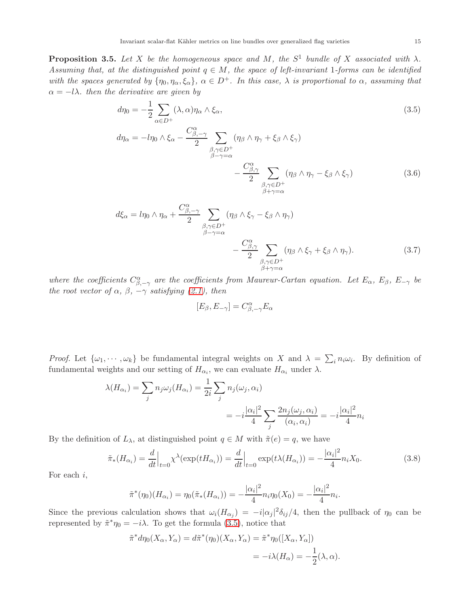<span id="page-14-0"></span>**Proposition 3.5.** Let X be the homogeneous space and M, the  $S^1$  bundle of X associated with  $\lambda$ . Assuming that, at the distinguished point  $q \in M$ , the space of left-invariant 1-forms can be identified with the spaces generated by  $\{\eta_0, \eta_\alpha, \xi_\alpha\}$ ,  $\alpha \in D^+$ . In this case,  $\lambda$  is proportional to  $\alpha$ , assuming that  $\alpha = -l\lambda$ . then the derivative are given by

$$
d\eta_0 = -\frac{1}{2} \sum_{\alpha \in D^+} (\lambda, \alpha) \eta_\alpha \wedge \xi_\alpha,
$$
  
\n
$$
d\eta_\alpha = -l\eta_0 \wedge \xi_\alpha - \frac{C_{\beta, -\gamma}^\alpha}{2} \sum_{\substack{\beta, \gamma \in D^+\\ \beta - \gamma = \alpha}} (\eta_\beta \wedge \eta_\gamma + \xi_\beta \wedge \xi_\gamma)
$$
\n(3.5)

<span id="page-14-2"></span><span id="page-14-1"></span>
$$
-\frac{C^{\alpha}_{\beta,\gamma}}{2} \sum_{\substack{\beta,\gamma \in D^{+} \\ \beta+\gamma=\alpha}} (\eta_{\beta} \wedge \eta_{\gamma} - \xi_{\beta} \wedge \xi_{\gamma})
$$
(3.6)

$$
d\xi_{\alpha} = l\eta_0 \wedge \eta_{\alpha} + \frac{C^{\alpha}_{\beta, -\gamma}}{2} \sum_{\substack{\beta, \gamma \in D^{+} \\ \beta - \gamma = \alpha}} (\eta_{\beta} \wedge \xi_{\gamma} - \xi_{\beta} \wedge \eta_{\gamma}) - \frac{C^{\alpha}_{\beta, \gamma}}{2} \sum_{\substack{\beta, \gamma \in D^{+} \\ \beta + \gamma = \alpha}} (\eta_{\beta} \wedge \xi_{\gamma} + \xi_{\beta} \wedge \eta_{\gamma}).
$$
\n(3.7)

where the coefficients  $C_{\beta,-\gamma}^{\alpha}$  are the coefficients from Maureur-Cartan equation. Let  $E_{\alpha}$ ,  $E_{\beta}$ ,  $E_{-\gamma}$  be the root vector of  $\alpha$ ,  $\beta$ ,  $-\gamma$  satisfying [\(2.1\)](#page-2-1), then

<span id="page-14-3"></span>
$$
[E_{\beta},E_{-\gamma}]=C_{\beta,-\gamma}^{\alpha}E_{\alpha}
$$

*Proof.* Let  $\{\omega_1, \dots, \omega_k\}$  be fundamental integral weights on X and  $\lambda = \sum_i n_i \omega_i$ . By definition of fundamental weights and our setting of  $H_{\alpha_i}$ , we can evaluate  $H_{\alpha_i}$  under  $\lambda$ .

$$
\lambda(H_{\alpha_i}) = \sum_j n_j \omega_j(H_{\alpha_i}) = \frac{1}{2i} \sum_j n_j(\omega_j, \alpha_i)
$$
  
= 
$$
-i \frac{|\alpha_i|^2}{4} \sum_j \frac{2n_j(\omega_j, \alpha_i)}{(\alpha_i, \alpha_i)} = -i \frac{|\alpha_i|^2}{4} n_i
$$

By the definition of  $L_{\lambda}$ , at distinguished point  $q \in M$  with  $\tilde{\pi}(e) = q$ , we have

$$
\tilde{\pi}_*(H_{\alpha_i}) = \frac{d}{dt}\Big|_{t=0} \chi^{\lambda}(\exp(tH_{\alpha_i})) = \frac{d}{dt}\Big|_{t=0} \exp(t\lambda(H_{\alpha_i})) = -\frac{|\alpha_i|^2}{4} n_i X_0.
$$
\n(3.8)

For each  $i$ ,

$$
\tilde{\pi}^*(\eta_0)(H_{\alpha_i}) = \eta_0(\tilde{\pi}_*(H_{\alpha_i})) = -\frac{|\alpha_i|^2}{4} n_i \eta_0(X_0) = -\frac{|\alpha_i|^2}{4} n_i.
$$

Since the previous calculation shows that  $\omega_i(H_{\alpha_j}) = -i|\alpha_j|^2 \delta_{ij}/4$ , then the pullback of  $\eta_0$  can be represented by  $\tilde{\pi}^* \eta_0 = -i\lambda$ . To get the formula [\(3.5\)](#page-14-1), notice that

$$
\tilde{\pi}^* d\eta_0(X_\alpha, Y_\alpha) = d\tilde{\pi}^*(\eta_0)(X_\alpha, Y_\alpha) = \tilde{\pi}^*\eta_0([X_\alpha, Y_\alpha])
$$
  
=  $-i\lambda(H_\alpha) = -\frac{1}{2}(\lambda, \alpha).$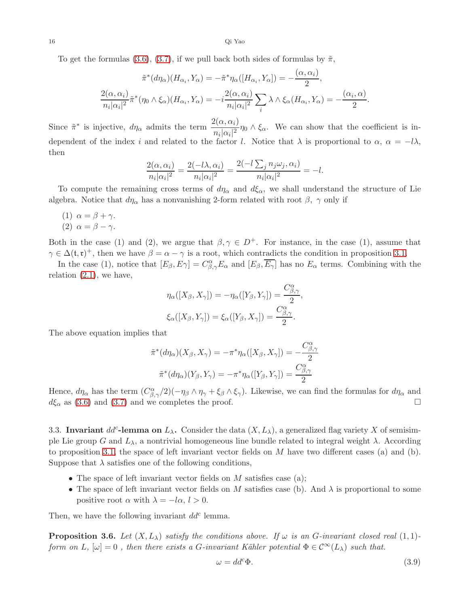To get the formulas [\(3.6\)](#page-14-2), [\(3.7\)](#page-14-3), if we pull back both sides of formulas by  $\tilde{\pi}$ ,

$$
\tilde{\pi}^*(d\eta_{\alpha})(H_{\alpha_i}, Y_{\alpha}) = -\tilde{\pi}^*\eta_{\alpha}([H_{\alpha_i}, Y_{\alpha}]) = -\frac{(\alpha, \alpha_i)}{2},
$$

$$
\frac{2(\alpha, \alpha_i)}{n_i|\alpha_i|^2}\tilde{\pi}^*(\eta_0 \wedge \xi_{\alpha})(H_{\alpha_i}, Y_{\alpha}) = -i\frac{2(\alpha, \alpha_i)}{n_i|\alpha_i|^2}\sum_i \lambda \wedge \xi_{\alpha}(H_{\alpha_i}, Y_{\alpha}) = -\frac{(\alpha_i, \alpha)}{2}
$$

.

Since  $\tilde{\pi}^*$  is injective,  $d\eta_{\alpha}$  admits the term  $\frac{2(\alpha, \alpha_i)}{n_i|\alpha_i|^2} \eta_0 \wedge \xi_{\alpha}$ . We can show that the coefficient is independent of the index i and related to the factor l. Notice that  $\lambda$  is proportional to  $\alpha$ ,  $\alpha = -l\lambda$ , then

$$
\frac{2(\alpha, \alpha_i)}{n_i|\alpha_i|^2} = \frac{2(-l\lambda, \alpha_i)}{n_i|\alpha_i|^2} = \frac{2(-l\sum_j n_j\omega_j, \alpha_i)}{n_i|\alpha_i|^2} = -l.
$$

To compute the remaining cross terms of  $d\eta_\alpha$  and  $d\xi_\alpha$ , we shall understand the structure of Lie algebra. Notice that  $d\eta_{\alpha}$  has a nonvanishing 2-form related with root  $\beta$ ,  $\gamma$  only if

- (1)  $\alpha = \beta + \gamma$ .
- (2)  $\alpha = \beta \gamma$ .

Both in the case (1) and (2), we argue that  $\beta, \gamma \in D^+$ . For instance, in the case (1), assume that  $\gamma \in \Delta(\mathfrak{t}, \mathfrak{r})^+$ , then we have  $\beta = \alpha - \gamma$  is a root, which contradicts the condition in proposition [3.1.](#page-10-1)

In the case (1), notice that  $[E_\beta, E_\gamma] = C_{\beta,\gamma}^{\alpha} E_\alpha$  and  $[E_\beta, \overline{E_\gamma}]$  has no  $E_\alpha$  terms. Combining with the relation  $(2.1)$ , we have,

$$
\eta_{\alpha}([X_{\beta}, X_{\gamma}]) = -\eta_{\alpha}([Y_{\beta}, Y_{\gamma}]) = \frac{C_{\beta, \gamma}^{\alpha}}{2},
$$
  

$$
\xi_{\alpha}([X_{\beta}, Y_{\gamma}]) = \xi_{\alpha}([Y_{\beta}, X_{\gamma}]) = \frac{C_{\beta, \gamma}^{\alpha}}{2}.
$$

The above equation implies that

$$
\tilde{\pi}^*(d\eta_{\alpha})(X_{\beta}, X_{\gamma}) = -\pi^*\eta_{\alpha}([X_{\beta}, X_{\gamma}]) = -\frac{C_{\beta, \gamma}^{\alpha}}{2}
$$

$$
\tilde{\pi}^*(d\eta_{\alpha})(Y_{\beta}, Y_{\gamma}) = -\pi^*\eta_{\alpha}([Y_{\beta}, Y_{\gamma}]) = \frac{C_{\beta, \gamma}^{\alpha}}{2}
$$

Hence,  $d\eta_\alpha$  has the term  $(C^{\alpha}_{\beta,\gamma}/2)(-\eta_\beta \wedge \eta_\gamma + \xi_\beta \wedge \xi_\gamma)$ . Likewise, we can find the formulas for  $d\eta_\alpha$  and  $d\xi_{\alpha}$  as [\(3.6\)](#page-14-2) and [\(3.7\)](#page-14-3) and we completes the proof.

<span id="page-15-0"></span>3.3. Invariant  $dd^c$ -lemma on  $L_\lambda$ . Consider the data  $(X, L_\lambda)$ , a generalized flag variety X of semisimple Lie group G and  $L_{\lambda}$ , a nontrivial homogeneous line bundle related to integral weight  $\lambda$ . According to proposition [3.1,](#page-10-1) the space of left invariant vector fields on  $M$  have two different cases (a) and (b). Suppose that  $\lambda$  satisfies one of the following conditions,

- The space of left invariant vector fields on M satisfies case (a);
- The space of left invariant vector fields on M satisfies case (b). And  $\lambda$  is proportional to some positive root  $\alpha$  with  $\lambda = -l\alpha, l > 0$ .

Then, we have the following invariant  $dd^c$  lemma.

<span id="page-15-1"></span>**Proposition 3.6.** Let  $(X, L_\lambda)$  satisfy the conditions above. If  $\omega$  is an G-invariant closed real  $(1, 1)$ form on L,  $[\omega] = 0$ , then there exists a G-invariant Kähler potential  $\Phi \in C^{\infty}(L_{\lambda})$  such that.

$$
\omega = dd^c \Phi. \tag{3.9}
$$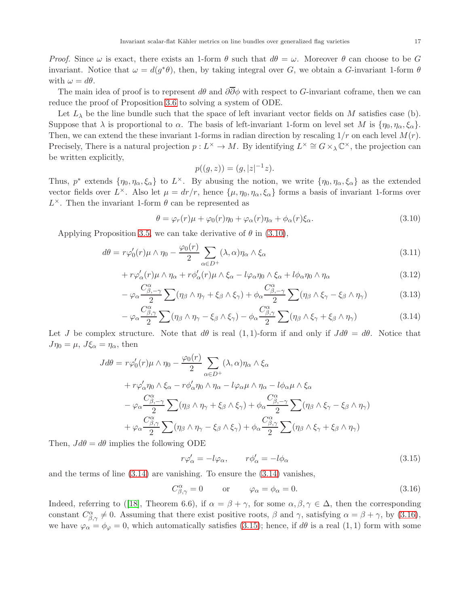*Proof.* Since  $\omega$  is exact, there exists an 1-form  $\theta$  such that  $d\theta = \omega$ . Moreover  $\theta$  can choose to be G invariant. Notice that  $\omega = d(g^*\theta)$ , then, by taking integral over G, we obtain a G-invariant 1-form  $\theta$ with  $\omega = d\theta$ .

The main idea of proof is to represent  $d\theta$  and  $\partial\overline{\partial}\phi$  with respect to G-invariant coframe, then we can reduce the proof of Proposition [3.6](#page-15-1) to solving a system of ODE.

Let  $L_{\lambda}$  be the line bundle such that the space of left invariant vector fields on M satisfies case (b). Suppose that  $\lambda$  is proportional to  $\alpha$ . The basis of left-invariant 1-form on level set M is  $\{\eta_0, \eta_\alpha, \xi_\alpha\}$ . Then, we can extend the these invariant 1-forms in radian direction by rescaling  $1/r$  on each level  $M(r)$ . Precisely, There is a natural projection  $p: L^{\times} \to M$ . By identifying  $L^{\times} \cong G \times_{\lambda} \mathbb{C}^{\times}$ , the projection can be written explicitly,

<span id="page-16-6"></span><span id="page-16-5"></span><span id="page-16-4"></span><span id="page-16-1"></span><span id="page-16-0"></span>
$$
p((g, z)) = (g, |z|^{-1}z).
$$

Thus,  $p^*$  extends  $\{\eta_0, \eta_\alpha, \xi_\alpha\}$  to  $L^\times$ . By abusing the notion, we write  $\{\eta_0, \eta_\alpha, \xi_\alpha\}$  as the extended vector fields over  $L^{\times}$ . Also let  $\mu = dr/r$ , hence  $\{\mu, \eta_0, \eta_\alpha, \xi_\alpha\}$  forms a basis of invariant 1-forms over  $L^{\times}$ . Then the invariant 1-form  $\theta$  can be represented as

$$
\theta = \varphi_r(r)\mu + \varphi_0(r)\eta_0 + \varphi_\alpha(r)\eta_\alpha + \phi_\alpha(r)\xi_\alpha.
$$
\n(3.10)

Applying Proposition [3.5,](#page-14-0) we can take derivative of  $\theta$  in [\(3.10\)](#page-16-0),

$$
d\theta = r\varphi'_0(r)\mu \wedge \eta_0 - \frac{\varphi_0(r)}{2} \sum_{\alpha \in D^+} (\lambda, \alpha)\eta_\alpha \wedge \xi_\alpha \tag{3.11}
$$

$$
+ r\varphi_{\alpha}'(r)\mu \wedge \eta_{\alpha} + r\phi_{\alpha}'(r)\mu \wedge \xi_{\alpha} - l\varphi_{\alpha}\eta_{0} \wedge \xi_{\alpha} + l\phi_{\alpha}\eta_{0} \wedge \eta_{\alpha}
$$
\n(3.12)

$$
-\varphi_{\alpha}\frac{C^{\alpha}_{\beta,-\gamma}}{2}\sum(\eta_{\beta}\wedge\eta_{\gamma}+\xi_{\beta}\wedge\xi_{\gamma})+\phi_{\alpha}\frac{C^{\alpha}_{\beta,-\gamma}}{2}\sum(\eta_{\beta}\wedge\xi_{\gamma}-\xi_{\beta}\wedge\eta_{\gamma})
$$
(3.13)

$$
-\varphi_{\alpha}\frac{C^{\alpha}_{\beta,\gamma}}{2}\sum(\eta_{\beta}\wedge\eta_{\gamma}-\xi_{\beta}\wedge\xi_{\gamma})-\phi_{\alpha}\frac{C^{\alpha}_{\beta,\gamma}}{2}\sum(\eta_{\beta}\wedge\xi_{\gamma}+\xi_{\beta}\wedge\eta_{\gamma})
$$
(3.14)

Let J be complex structure. Note that  $d\theta$  is real  $(1, 1)$ -form if and only if  $J d\theta = d\theta$ . Notice that  $J\eta_0 = \mu$ ,  $J\xi_\alpha = \eta_\alpha$ , then

$$
J d\theta = r\varphi_0'(r)\mu \wedge \eta_0 - \frac{\varphi_0(r)}{2} \sum_{\alpha \in D^+} (\lambda, \alpha) \eta_\alpha \wedge \xi_\alpha
$$
  
+  $r\varphi_\alpha' \eta_0 \wedge \xi_\alpha - r\varphi_\alpha' \eta_0 \wedge \eta_\alpha - l\varphi_\alpha \mu \wedge \eta_\alpha - l\varphi_\alpha \mu \wedge \xi_\alpha$   
-  $\varphi_\alpha \frac{C_{\beta, -\gamma}^\alpha}{2} \sum (\eta_\beta \wedge \eta_\gamma + \xi_\beta \wedge \xi_\gamma) + \varphi_\alpha \frac{C_{\beta, -\gamma}^\alpha}{2} \sum (\eta_\beta \wedge \xi_\gamma - \xi_\beta \wedge \eta_\gamma)$   
+  $\varphi_\alpha \frac{C_{\beta, \gamma}^\alpha}{2} \sum (\eta_\beta \wedge \eta_\gamma - \xi_\beta \wedge \xi_\gamma) + \varphi_\alpha \frac{C_{\beta, \gamma}^\alpha}{2} \sum (\eta_\beta \wedge \xi_\gamma + \xi_\beta \wedge \eta_\gamma)$ 

Then,  $J d\theta = d\theta$  implies the following ODE

<span id="page-16-3"></span><span id="page-16-2"></span>
$$
r\varphi'_{\alpha} = -l\varphi_{\alpha}, \qquad r\phi'_{\alpha} = -l\phi_{\alpha} \tag{3.15}
$$

and the terms of line [\(3.14\)](#page-16-1) are vanishing. To ensure the [\(3.14\)](#page-16-1) vanishes,

$$
C^{\alpha}_{\beta,\gamma} = 0 \qquad \text{or} \qquad \varphi_{\alpha} = \phi_{\alpha} = 0. \tag{3.16}
$$

Indeed,referring to ([\[18\]](#page-26-15), Theorem 6.6), if  $\alpha = \beta + \gamma$ , for some  $\alpha, \beta, \gamma \in \Delta$ , then the corresponding constant  $C_{\beta,\gamma}^{\alpha} \neq 0$ . Assuming that there exist positive roots,  $\beta$  and  $\gamma$ , satisfying  $\alpha = \beta + \gamma$ , by [\(3.16\)](#page-16-2), we have  $\varphi_{\alpha} = \phi_{\varphi} = 0$ , which automatically satisfies [\(3.15\)](#page-16-3); hence, if  $d\theta$  is a real (1, 1) form with some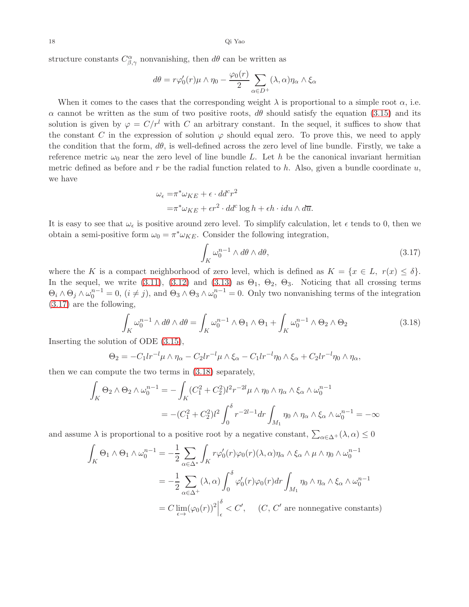structure constants  $C^{\alpha}_{\beta,\gamma}$  nonvanishing, then  $d\theta$  can be written as

$$
d\theta = r\varphi_0'(r)\mu \wedge \eta_0 - \frac{\varphi_0(r)}{2} \sum_{\alpha \in D^+} (\lambda, \alpha)\eta_\alpha \wedge \xi_\alpha
$$

When it comes to the cases that the corresponding weight  $\lambda$  is proportional to a simple root  $\alpha$ , i.e.  $\alpha$  cannot be written as the sum of two positive roots,  $d\theta$  should satisfy the equation [\(3.15\)](#page-16-3) and its solution is given by  $\varphi = C/r^l$  with C an arbitrary constant. In the sequel, it suffices to show that the constant C in the expression of solution  $\varphi$  should equal zero. To prove this, we need to apply the condition that the form,  $d\theta$ , is well-defined across the zero level of line bundle. Firstly, we take a reference metric  $\omega_0$  near the zero level of line bundle L. Let h be the canonical invariant hermitian metric defined as before and r be the radial function related to  $h$ . Also, given a bundle coordinate  $u$ , we have

$$
\omega_{\epsilon} = \pi^* \omega_{KE} + \epsilon \cdot dd^c r^2
$$
  
=  $\pi^* \omega_{KE} + \epsilon r^2 \cdot dd^c \log h + \epsilon h \cdot idu \wedge d\overline{u}.$ 

It is easy to see that  $\omega_{\epsilon}$  is positive around zero level. To simplify calculation, let  $\epsilon$  tends to 0, then we obtain a semi-positive form  $\omega_0 = \pi^* \omega_{KE}$ . Consider the following integration,

<span id="page-17-1"></span><span id="page-17-0"></span>
$$
\int_{K} \omega_0^{n-1} \wedge d\theta \wedge d\theta,\tag{3.17}
$$

where the K is a compact neighborhood of zero level, which is defined as  $K = \{x \in L, r(x) \leq \delta\}.$ In the sequel, we write (3.[11\)](#page-16-4), (3.[12\)](#page-16-5) and (3.[13\)](#page-16-6) as  $\Theta_1$ ,  $\Theta_2$ ,  $\Theta_3$ . Noticing that all crossing terms  $\Theta_i \wedge \Theta_j \wedge \omega_0^{n-1} = 0$ ,  $(i \neq j)$ , and  $\Theta_3 \wedge \Theta_3 \wedge \omega_0^{n-1} = 0$ . Only two nonvanishing terms of the integration [\(3.17\)](#page-17-0) are the following,

$$
\int_{K} \omega_0^{n-1} \wedge d\theta \wedge d\theta = \int_{K} \omega_0^{n-1} \wedge \Theta_1 \wedge \Theta_1 + \int_{K} \omega_0^{n-1} \wedge \Theta_2 \wedge \Theta_2 \tag{3.18}
$$

Inserting the solution of ODE [\(3.15\)](#page-16-3),

$$
\Theta_2 = -C_1\ln^{-1}\mu \wedge \eta_\alpha - C_2\ln^{-1}\mu \wedge \xi_\alpha - C_1\ln^{-1}\eta_0 \wedge \xi_\alpha + C_2\ln^{-1}\eta_0 \wedge \eta_\alpha,
$$

then we can compute the two terms in [\(3.18\)](#page-17-1) separately,

$$
\int_{K} \Theta_{2} \wedge \Theta_{2} \wedge \omega_{0}^{n-1} = -\int_{K} (C_{1}^{2} + C_{2}^{2}) l^{2} r^{-2l} \mu \wedge \eta_{0} \wedge \eta_{\alpha} \wedge \xi_{\alpha} \wedge \omega_{0}^{n-1}
$$
\n
$$
= -(C_{1}^{2} + C_{2}^{2}) l^{2} \int_{0}^{\delta} r^{-2l-1} dr \int_{M_{1}} \eta_{0} \wedge \eta_{\alpha} \wedge \xi_{\alpha} \wedge \omega_{0}^{n-1} = -\infty
$$

and assume  $\lambda$  is proportional to a positive root by a negative constant,  $\sum_{\alpha \in \Delta^+} (\lambda, \alpha) \leq 0$ 

$$
\int_{K} \Theta_{1} \wedge \Theta_{1} \wedge \omega_{0}^{n-1} = -\frac{1}{2} \sum_{\alpha \in \Delta^{*}} \int_{K} r \varphi_{0}'(r) \varphi_{0}(r) (\lambda, \alpha) \eta_{\alpha} \wedge \xi_{\alpha} \wedge \mu \wedge \eta_{0} \wedge \omega_{0}^{n-1}
$$
\n
$$
= -\frac{1}{2} \sum_{\alpha \in \Delta^{+}} (\lambda, \alpha) \int_{0}^{\delta} \varphi_{0}'(r) \varphi_{0}(r) dr \int_{M_{1}} \eta_{0} \wedge \eta_{\alpha} \wedge \xi_{\alpha} \wedge \omega_{0}^{n-1}
$$
\n
$$
= C \lim_{\epsilon \to} (\varphi_{0}(r))^{2} \Big|_{\epsilon}^{\delta} < C', \quad (C, C' \text{ are nonnegative constants})
$$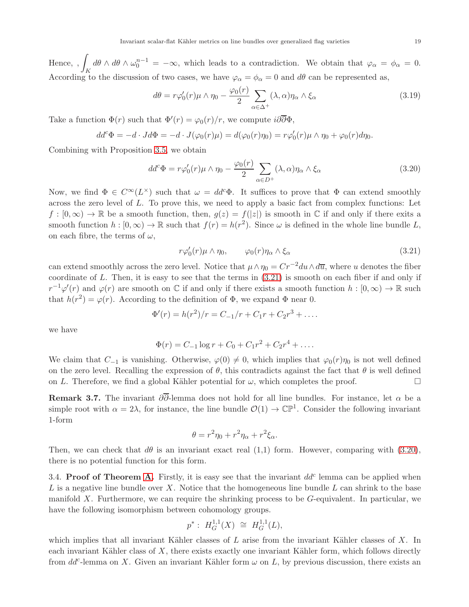Hence, , Z According to the discussion of two cases, we have  $\varphi_{\alpha} = \phi_{\alpha} = 0$  and  $d\theta$  can be represented as,  $d\theta \wedge d\theta \wedge \omega_0^{n-1} = -\infty$ , which leads to a contradiction. We obtain that  $\varphi_\alpha = \phi_\alpha = 0$ .

$$
d\theta = r\varphi_0'(r)\mu \wedge \eta_0 - \frac{\varphi_0(r)}{2} \sum_{\alpha \in \Delta^+} (\lambda, \alpha)\eta_\alpha \wedge \xi_\alpha \tag{3.19}
$$

Take a function  $\Phi(r)$  such that  $\Phi'(r) = \varphi_0(r)/r$ , we compute  $i\partial\overline{\partial}\Phi$ ,

$$
dd^c\Phi = -d \cdot Jd\Phi = -d \cdot J(\varphi_0(r)\mu) = d(\varphi_0(r)\eta_0) = r\varphi'_0(r)\mu \wedge \eta_0 + \varphi_0(r)d\eta_0.
$$

Combining with Proposition [3.5,](#page-14-0) we obtain

$$
dd^c \Phi = r\varphi'_0(r)\mu \wedge \eta_0 - \frac{\varphi_0(r)}{2} \sum_{\alpha \in D^+} (\lambda, \alpha)\eta_\alpha \wedge \xi_\alpha \tag{3.20}
$$

Now, we find  $\Phi \in C^{\infty}(L^{\times})$  such that  $\omega = dd^c \Phi$ . It suffices to prove that  $\Phi$  can extend smoothly across the zero level of  $L$ . To prove this, we need to apply a basic fact from complex functions: Let  $f : [0,\infty) \to \mathbb{R}$  be a smooth function, then,  $g(z) = f(|z|)$  is smooth in C if and only if there exits a smooth function  $h : [0, \infty) \to \mathbb{R}$  such that  $f(r) = h(r^2)$ . Since  $\omega$  is defined in the whole line bundle L, on each fibre, the terms of  $\omega$ ,

<span id="page-18-2"></span><span id="page-18-1"></span>
$$
r\varphi_0'(r)\mu \wedge \eta_0, \qquad \varphi_0(r)\eta_\alpha \wedge \xi_\alpha \tag{3.21}
$$

can extend smoothly across the zero level. Notice that  $\mu \wedge \eta_0 = Cr^{-2}du \wedge d\overline{u}$ , where u denotes the fiber coordinate of  $L$ . Then, it is easy to see that the terms in  $(3.21)$  is smooth on each fiber if and only if  $r^{-1}\varphi'(r)$  and  $\varphi(r)$  are smooth on C if and only if there exists a smooth function  $h:[0,\infty)\to\mathbb{R}$  such that  $h(r^2) = \varphi(r)$ . According to the definition of  $\Phi$ , we expand  $\Phi$  near 0.

$$
\Phi'(r) = h(r^2)/r = C_{-1}/r + C_1r + C_2r^3 + \dots
$$

we have

$$
\Phi(r) = C_{-1} \log r + C_0 + C_1 r^2 + C_2 r^4 + \dots
$$

We claim that  $C_{-1}$  is vanishing. Otherwise,  $\varphi(0) \neq 0$ , which implies that  $\varphi_0(r)\eta_0$  is not well defined on the zero level. Recalling the expression of  $\theta$ , this contradicts against the fact that  $\theta$  is well defined on L. Therefore, we find a global Kähler potential for  $\omega$ , which completes the proof.

**Remark 3.7.** The invariant  $\partial \overline{\partial}$ -lemma does not hold for all line bundles. For instance, let  $\alpha$  be a simple root with  $\alpha = 2\lambda$ , for instance, the line bundle  $\mathcal{O}(1) \to \mathbb{CP}^1$ . Consider the following invariant 1-form

$$
\theta = r^2 \eta_0 + r^2 \eta_\alpha + r^2 \xi_\alpha.
$$

Then, we can check that  $d\theta$  is an invariant exact real (1,1) form. However, comparing with [\(3.20\)](#page-18-2), there is no potential function for this form.

<span id="page-18-0"></span>3.4. Proof of Theorem [A.](#page-0-0) Firstly, it is easy see that the invariant  $dd^c$  lemma can be applied when  $L$  is a negative line bundle over X. Notice that the homogeneous line bundle  $L$  can shrink to the base manifold X. Furthermore, we can require the shrinking process to be  $G$ -equivalent. In particular, we have the following isomorphism between cohomology groups.

$$
p^* : H_G^{1,1}(X) \cong H_G^{1,1}(L),
$$

which implies that all invariant Kähler classes of L arise from the invariant Kähler classes of X. In each invariant Kähler class of  $X$ , there exists exactly one invariant Kähler form, which follows directly from  $dd^c$ -lemma on X. Given an invariant Kähler form  $\omega$  on L, by previous discussion, there exists an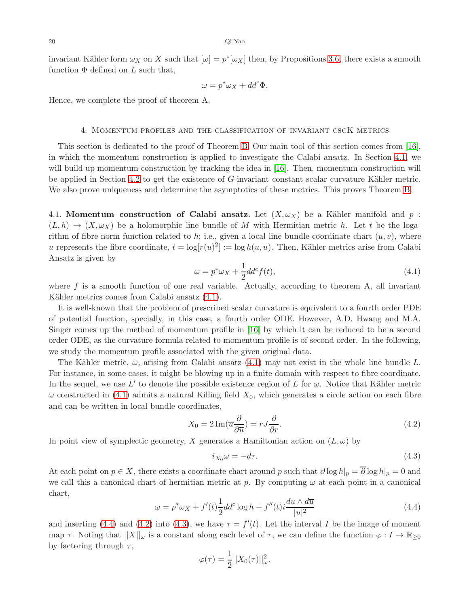invariant Kähler form  $\omega_X$  on X such that  $[\omega] = p^*[\omega_X]$  then, by Propositions [3.6,](#page-15-1) there exists a smooth function  $\Phi$  defined on L such that,

$$
\omega = p^* \omega_X + dd^c \Phi.
$$

<span id="page-19-0"></span>Hence, we complete the proof of theorem A.

#### 4. Momentum profiles and the classification of invariant cscK metrics

This section is dedicated to the proof of Theorem [B.](#page-1-2) Our main tool of this section comes from [\[16\]](#page-26-12), in which the momentum construction is applied to investigate the Calabi ansatz. In Section [4.1,](#page-19-1) we will build up momentum construction by tracking the idea in [\[16\]](#page-26-12). Then, momentum construction will be applied in Section [4.2](#page-21-0) to get the existence of G-invariant constant scalar curvature Kähler metric. We also prove uniqueness and determine the asymptotics of these metrics. This proves Theorem [B.](#page-1-2)

<span id="page-19-1"></span>4.1. Momentum construction of Calabi ansatz. Let  $(X, \omega_X)$  be a Kähler manifold and p:  $(L, h) \to (X, \omega_X)$  be a holomorphic line bundle of M with Hermitian metric h. Let t be the logarithm of fibre norm function related to h; i.e., given a local line bundle coordinate chart  $(u, v)$ , where u represents the fibre coordinate,  $t = \log[r(u)^2] := \log h(u, \overline{u})$ . Then, Kähler metrics arise from Calabi Ansatz is given by

<span id="page-19-2"></span>
$$
\omega = p^* \omega_X + \frac{1}{2} d d^c f(t), \qquad (4.1)
$$

where  $f$  is a smooth function of one real variable. Actually, according to theorem A, all invariant Kähler metrics comes from Calabi ansatz  $(4.1)$ .

It is well-known that the problem of prescribed scalar curvature is equivalent to a fourth order PDE of potential function, specially, in this case, a fourth order ODE. However, A.D. Hwang and M.A. Singer comes up the method of momentum profile in [\[16\]](#page-26-12) by which it can be reduced to be a second order ODE, as the curvature formula related to momentum profile is of second order. In the following, we study the momentum profile associated with the given original data.

The Kähler metric,  $\omega$ , arising from Calabi ansatz [\(4.1\)](#page-19-2) may not exist in the whole line bundle L. For instance, in some cases, it might be blowing up in a finite domain with respect to fibre coordinate. In the sequel, we use  $L'$  to denote the possible existence region of L for  $\omega$ . Notice that Kähler metric  $\omega$  constructed in [\(4.1\)](#page-19-2) admits a natural Killing field  $X_0$ , which generates a circle action on each fibre and can be written in local bundle coordinates,

<span id="page-19-4"></span>
$$
X_0 = 2\operatorname{Im}(\overline{u}\frac{\partial}{\partial \overline{u}}) = rJ\frac{\partial}{\partial r}.\tag{4.2}
$$

In point view of symplectic geometry, X generates a Hamiltonian action on  $(L, \omega)$  by

<span id="page-19-5"></span>
$$
i_{X_0}\omega = -d\tau. \tag{4.3}
$$

At each point on  $p \in X$ , there exists a coordinate chart around p such that  $\partial \log h|_p = \overline{\partial} \log h|_p = 0$  and we call this a canonical chart of hermitian metric at p. By computing  $\omega$  at each point in a canonical chart,

<span id="page-19-3"></span>
$$
\omega = p^* \omega_X + f'(t) \frac{1}{2} d d^c \log h + f''(t) i \frac{du \wedge d\overline{u}}{|u|^2}
$$
\n(4.4)

and inserting [\(4.4\)](#page-19-3) and [\(4.2\)](#page-19-4) into [\(4.3\)](#page-19-5), we have  $\tau = f'(t)$ . Let the interval I be the image of moment map  $\tau$ . Noting that  $||X||_{\omega}$  is a constant along each level of  $\tau$ , we can define the function  $\varphi: I \to \mathbb{R}_{\geq 0}$ by factoring through  $\tau$ ,

$$
\varphi(\tau) = \frac{1}{2} ||X_0(\tau)||_{\omega}^2.
$$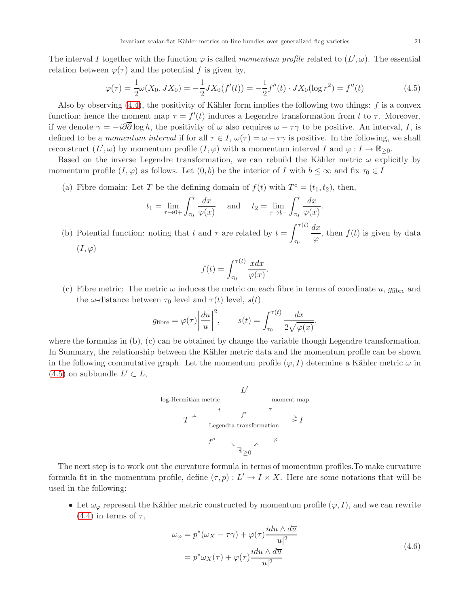The interval I together with the function  $\varphi$  is called momentum profile related to  $(L', \omega)$ . The essential relation between  $\varphi(\tau)$  and the potential f is given by,

<span id="page-20-0"></span>
$$
\varphi(\tau) = \frac{1}{2}\omega(X_0, JX_0) = -\frac{1}{2}JX_0(f'(t)) = -\frac{1}{2}f''(t) \cdot JX_0(\log r^2) = f''(t)
$$
\n(4.5)

.

Also by observing  $(4.4)$ , the positivity of Kähler form implies the following two things: f is a convex function; hence the moment map  $\tau = f'(t)$  induces a Legendre transformation from t to  $\tau$ . Moreover, if we denote  $\gamma = -i\partial\overline{\partial}\log h$ , the positivity of  $\omega$  also requires  $\omega - \tau\gamma$  to be positive. An interval, I, is defined to be a momentum interval if for all  $\tau \in I$ ,  $\omega(\tau) = \omega - \tau \gamma$  is positive. In the following, we shall reconstruct  $(L', \omega)$  by momentum profile  $(I, \varphi)$  with a momentum interval I and  $\varphi: I \to \mathbb{R}_{\geq 0}$ .

Based on the inverse Legendre transformation, we can rebuild the Kähler metric  $\omega$  explicitly by momentum profile  $(I, \varphi)$  as follows. Let  $(0, b)$  be the interior of I with  $b \leq \infty$  and fix  $\tau_0 \in I$ 

(a) Fibre domain: Let T be the defining domain of  $f(t)$  with  $T^{\circ} = (t_1, t_2)$ , then,

$$
t_1 = \lim_{\tau \to 0+} \int_{\tau_0}^{\tau} \frac{dx}{\varphi(x)}
$$
 and  $t_2 = \lim_{\tau \to b-} \int_{\tau_0}^{\tau} \frac{dx}{\varphi(x)}$ 

(b) Potential function: noting that t and  $\tau$  are related by  $t = \int^{\tau(t)}$  $\tau_0$  $dx$  $\frac{d\mathbf{w}}{\varphi}$ , then  $f(t)$  is given by data  $(I,\varphi)$ 

$$
f(t) = \int_{\tau_0}^{\tau(t)} \frac{x dx}{\varphi(x)}.
$$

(c) Fibre metric: The metric  $\omega$  induces the metric on each fibre in terms of coordinate u,  $g_{\text{fibre}}$  and the  $\omega$ -distance between  $\tau_0$  level and  $\tau(t)$  level,  $s(t)$ 

$$
g_{\text{fibre}} = \varphi(\tau) \left| \frac{du}{u} \right|^2, \qquad s(t) = \int_{\tau_0}^{\tau(t)} \frac{dx}{2\sqrt{\varphi(x)}}.
$$

where the formulas in (b), (c) can be obtained by change the variable though Legendre transformation. In Summary, the relationship between the Kähler metric data and the momentum profile can be shown in the following commutative graph. Let the momentum profile  $(\varphi, I)$  determine a Kähler metric  $\omega$  in  $(4.5)$  on subbundle  $L' \subset L$ ,



The next step is to work out the curvature formula in terms of momentum profiles.To make curvature formula fit in the momentum profile, define  $(\tau, p): L' \to I \times X$ . Here are some notations that will be used in the following:

<span id="page-20-1"></span>• Let  $\omega_{\varphi}$  represent the Kähler metric constructed by momentum profile  $(\varphi, I)$ , and we can rewrite  $(4.4)$  in terms of  $\tau$ ,

$$
\omega_{\varphi} = p^*(\omega_X - \tau \gamma) + \varphi(\tau) \frac{i du \wedge d\overline{u}}{|u|^2}
$$
  
=  $p^* \omega_X(\tau) + \varphi(\tau) \frac{i du \wedge d\overline{u}}{|u|^2}$  (4.6)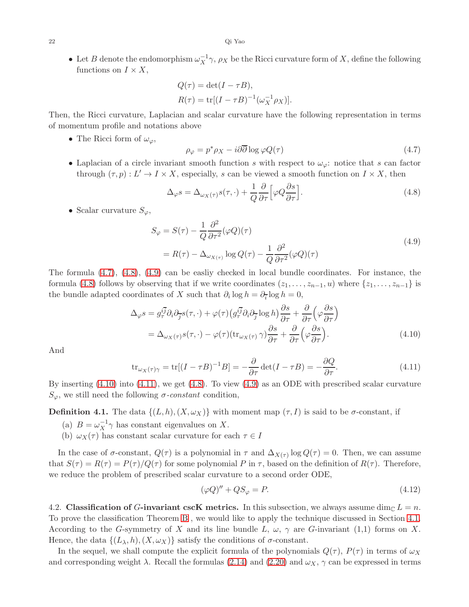• Let B denote the endomorphism  $\omega_X^{-1} \gamma$ ,  $\rho_X$  be the Ricci curvature form of X, define the following functions on  $I \times X$ ,

$$
Q(\tau) = \det(I - \tau B),
$$
  
 
$$
R(\tau) = \text{tr}[(I - \tau B)^{-1}(\omega_X^{-1} \rho_X)].
$$

Then, the Ricci curvature, Laplacian and scalar curvature have the following representation in terms of momentum profile and notations above

• The Ricci form of  $\omega_{\varphi}$ ,

<span id="page-21-1"></span>
$$
\rho_{\varphi} = p^* \rho_X - i \partial \overline{\partial} \log \varphi Q(\tau) \tag{4.7}
$$

• Laplacian of a circle invariant smooth function s with respect to  $\omega_{\varphi}$ : notice that s can factor through  $(\tau, p): L' \to I \times X$ , especially, s can be viewed a smooth function on  $I \times X$ , then

<span id="page-21-2"></span>
$$
\Delta_{\varphi}s = \Delta_{\omega_X(\tau)}s(\tau, \cdot) + \frac{1}{Q}\frac{\partial}{\partial \tau}\Big[\varphi Q \frac{\partial s}{\partial \tau}\Big].\tag{4.8}
$$

• Scalar curvature  $S_{\varphi}$ ,

$$
S_{\varphi} = S(\tau) - \frac{1}{Q} \frac{\partial^2}{\partial \tau^2} (\varphi Q)(\tau)
$$
  
=  $R(\tau) - \Delta_{\omega_{X(\tau)}} \log Q(\tau) - \frac{1}{Q} \frac{\partial^2}{\partial \tau^2} (\varphi Q)(\tau)$  (4.9)

<span id="page-21-3"></span>The formula [\(4.7\)](#page-21-1), [\(4.8\)](#page-21-2), [\(4.9\)](#page-21-3) can be easliy checked in local bundle coordinates. For instance, the formula [\(4.8\)](#page-21-2) follows by observing that if we write coordinates  $(z_1, \ldots, z_{n-1}, u)$  where  $\{z_1, \ldots, z_{n-1}\}$  is the bundle adapted coordinates of X such that  $\partial_i \log h = \partial_{\overline{i}} \log h = 0$ ,

$$
\Delta_{\varphi} s = g_{\tau}^{i\overline{j}} \partial_i \partial_{\overline{j}} s(\tau, \cdot) + \varphi(\tau) \left( g_{\tau}^{i\overline{j}} \partial_i \partial_{\overline{j}} \log h \right) \frac{\partial s}{\partial \tau} + \frac{\partial}{\partial \tau} \left( \varphi \frac{\partial s}{\partial \tau} \right)
$$
  
= 
$$
\Delta_{\omega_X(\tau)} s(\tau, \cdot) - \varphi(\tau) \left( \text{tr}_{\omega_X(\tau)} \gamma \right) \frac{\partial s}{\partial \tau} + \frac{\partial}{\partial \tau} \left( \varphi \frac{\partial s}{\partial \tau} \right). \tag{4.10}
$$

And

$$
\text{tr}_{\omega_X(\tau)} = \text{tr}[(I - \tau B)^{-1}B] = -\frac{\partial}{\partial \tau} \det(I - \tau B) = -\frac{\partial Q}{\partial \tau}.
$$
\n(4.11)

By inserting [\(4.10\)](#page-21-4) into [\(4.11\)](#page-21-5), we get [\(4.8\)](#page-21-2). To view [\(4.9\)](#page-21-3) as an ODE with prescribed scalar curvature  $S_{\varphi}$ , we still need the following *σ*-constant condition,

**Definition 4.1.** The data  $\{(L, h), (X, \omega_X)\}\$  with moment map  $(\tau, I)$  is said to be  $\sigma$ -constant, if

- (a)  $B = \omega_X^{-1} \gamma$  has constant eigenvalues on X.
- (b)  $\omega_X(\tau)$  has constant scalar curvature for each  $\tau \in I$

In the case of  $\sigma$ -constant,  $Q(\tau)$  is a polynomial in  $\tau$  and  $\Delta_{X(\tau)}$  log  $Q(\tau) = 0$ . Then, we can assume that  $S(\tau) = R(\tau) = P(\tau)/Q(\tau)$  for some polynomial P in  $\tau$ , based on the definition of  $R(\tau)$ . Therefore, we reduce the problem of prescribed scalar curvature to a second order ODE,

<span id="page-21-6"></span><span id="page-21-5"></span><span id="page-21-4"></span>
$$
(\varphi Q)'' + QS_{\varphi} = P. \tag{4.12}
$$

<span id="page-21-0"></span>4.2. Classification of G-invariant cscK metrics. In this subsection, we always assume dim<sub>C</sub>  $L = n$ . To prove the classification Theorem [B](#page-1-2) , we would like to apply the technique discussed in Section [4.1.](#page-19-1) According to the G-symmetry of X and its line bundle L,  $\omega$ ,  $\gamma$  are G-invariant (1,1) forms on X. Hence, the data  $\{(L_{\lambda}, h), (X, \omega_X)\}\$  satisfy the conditions of  $\sigma$ -constant.

In the sequel, we shall compute the explicit formula of the polynomials  $Q(\tau)$ ,  $P(\tau)$  in terms of  $\omega_X$ and corresponding weight  $\lambda$ . Recall the formulas [\(2.14\)](#page-7-1) and [\(2.20\)](#page-8-0) and  $\omega_X$ ,  $\gamma$  can be expressed in terms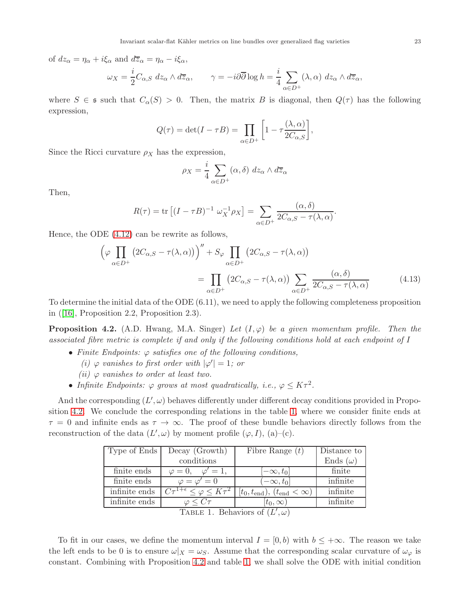of 
$$
dz_{\alpha} = \eta_{\alpha} + i\xi_{\alpha}
$$
 and  $d\overline{z}_{\alpha} = \eta_{\alpha} - i\xi_{\alpha}$ ,  
\n
$$
\omega_X = \frac{i}{2}C_{\alpha,S} dz_{\alpha} \wedge d\overline{z}_{\alpha}, \qquad \gamma = -i\partial\overline{\partial} \log h = \frac{i}{4} \sum_{\alpha \in D^+} (\lambda, \alpha) dz_{\alpha} \wedge d\overline{z}_{\alpha},
$$

where  $S \in \mathfrak{s}$  such that  $C_{\alpha}(S) > 0$ . Then, the matrix B is diagonal, then  $Q(\tau)$  has the following expression,

$$
Q(\tau) = \det(I - \tau B) = \prod_{\alpha \in D^{+}} \left[1 - \tau \frac{(\lambda, \alpha)}{2C_{\alpha, S}}\right],
$$

Since the Ricci curvature  $\rho_X$  has the expression,

<span id="page-22-2"></span>
$$
\rho_X = \frac{i}{4} \sum_{\alpha \in D^+} (\alpha, \delta) \ dz_{\alpha} \wedge d\overline{z}_{\alpha}
$$

Then,

$$
R(\tau) = \text{tr}\left[ (I - \tau B)^{-1} \omega_X^{-1} \rho_X \right] = \sum_{\alpha \in D^+} \frac{(\alpha, \delta)}{2C_{\alpha, S} - \tau(\lambda, \alpha)}.
$$

Hence, the ODE [\(4.12\)](#page-21-6) can be rewrite as follows,

$$
\left(\varphi \prod_{\alpha \in D^{+}} \left(2C_{\alpha,S} - \tau(\lambda, \alpha)\right)\right)^{n} + S_{\varphi} \prod_{\alpha \in D^{+}} \left(2C_{\alpha,S} - \tau(\lambda, \alpha)\right)
$$

$$
= \prod_{\alpha \in D^{+}} \left(2C_{\alpha,S} - \tau(\lambda, \alpha)\right) \sum_{\alpha \in D^{+}} \frac{(\alpha, \delta)}{2C_{\alpha,S} - \tau(\lambda, \alpha)} \tag{4.13}
$$

To determine the initial data of the ODE (6.11), we need to apply the following completeness proposition in([\[16\]](#page-26-12), Proposition 2.2, Proposition 2.3).

<span id="page-22-0"></span>**Proposition 4.2.** (A.D. Hwang, M.A. Singer) Let  $(I, \varphi)$  be a given momentum profile. Then the associated fibre metric is complete if and only if the following conditions hold at each endpoint of I

- Finite Endpoints:  $\varphi$  satisfies one of the following conditions,
	- (i)  $\varphi$  vanishes to first order with  $|\varphi'| = 1$ ; or
	- (ii)  $\varphi$  vanishes to order at least two.
- Infinite Endpoints:  $\varphi$  grows at most quadratically, i.e.,  $\varphi \leq K\tau^2$ .

And the corresponding  $(L', \omega)$  behaves differently under different decay conditions provided in Proposition [4.2.](#page-22-0) We conclude the corresponding relations in the table [1,](#page-22-1) where we consider finite ends at  $\tau = 0$  and infinite ends as  $\tau \to \infty$ . The proof of these bundle behaviors directly follows from the reconstruction of the data  $(L', \omega)$  by moment profile  $(\varphi, I)$ ,  $(a)$ – $(c)$ .

| Type of Ends                         | Decay(Growth)            | Fibre Range $(t)$                                                                                               | Distance to     |  |  |
|--------------------------------------|--------------------------|-----------------------------------------------------------------------------------------------------------------|-----------------|--|--|
|                                      | conditions               |                                                                                                                 | Ends $(\omega)$ |  |  |
| finite ends                          | $=1$ ,<br>$\varphi=0$ ,  | $[-\infty, t_0]$                                                                                                | finite          |  |  |
| finite ends                          | $\varphi = \varphi' = 0$ | $-\infty, t_0$                                                                                                  | infinite        |  |  |
| infinite ends                        |                          | $\overline{C\tau^{1+\epsilon}} \leq \varphi \leq K\tau^2 \mid [t_0, t_{\text{end}}), (t_{\text{end}} < \infty)$ | infinite        |  |  |
| infinite ends                        | $\varphi \leq C\tau$     | $[t_0,\infty)$                                                                                                  | infinite        |  |  |
| Behaviors of $(I/\omega)$<br>Тарге 1 |                          |                                                                                                                 |                 |  |  |

<span id="page-22-1"></span>TABLE 1. Behaviors of  $(L', \omega)$ 

To fit in our cases, we define the momentum interval  $I = [0, b)$  with  $b \leq +\infty$ . The reason we take the left ends to be 0 is to ensure  $\omega|_X = \omega_S$ . Assume that the corresponding scalar curvature of  $\omega_\varphi$  is constant. Combining with Proposition [4.2](#page-22-0) and table [1,](#page-22-1) we shall solve the ODE with initial condition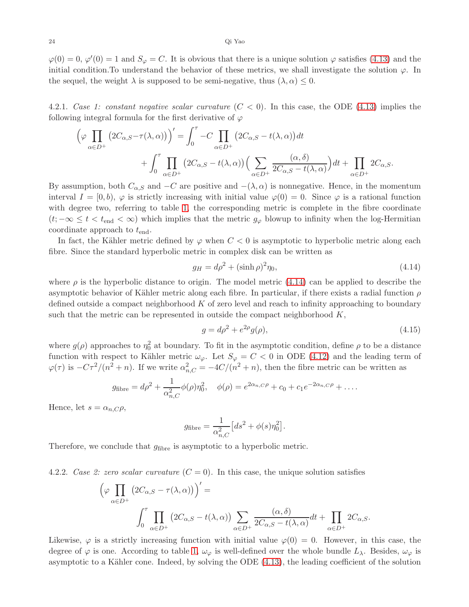$\varphi(0) = 0, \varphi'(0) = 1$  and  $S_{\varphi} = C$ . It is obvious that there is a unique solution  $\varphi$  satisfies [\(4.13\)](#page-22-2) and the initial condition. To understand the behavior of these metrics, we shall investigate the solution  $\varphi$ . In the sequel, the weight  $\lambda$  is supposed to be semi-negative, thus  $(\lambda, \alpha) \leq 0$ .

4.2.1. Case 1: constant negative scalar curvature  $(C < 0)$ . In this case, the ODE [\(4.13\)](#page-22-2) implies the following integral formula for the first derivative of  $\varphi$ 

$$
\left(\varphi \prod_{\alpha \in D^{+}} \left(2C_{\alpha,S} - \tau(\lambda, \alpha)\right)\right)' = \int_{0}^{\tau} -C \prod_{\alpha \in D^{+}} \left(2C_{\alpha,S} - t(\lambda, \alpha)\right)dt + \int_{0}^{\tau} \prod_{\alpha \in D^{+}} \left(2C_{\alpha,S} - t(\lambda, \alpha)\right)\left(\sum_{\alpha \in D^{+}} \frac{(\alpha, \delta)}{2C_{\alpha,S} - t(\lambda, \alpha)}\right)dt + \prod_{\alpha \in D^{+}} 2C_{\alpha,S}.
$$

By assumption, both  $C_{\alpha, S}$  and  $-C$  are positive and  $-(\lambda, \alpha)$  is nonnegative. Hence, in the momentum interval  $I = [0, b), \varphi$  is strictly increasing with initial value  $\varphi(0) = 0$ . Since  $\varphi$  is a rational function with degree two, referring to table [1,](#page-22-1) the corresponding metric is complete in the fibre coordinate  $(t; -\infty \leq t < t_{\text{end}} < \infty)$  which implies that the metric  $g_{\varphi}$  blowup to infinity when the log-Hermitian coordinate approach to  $t_{\text{end}}$ .

In fact, the Kähler metric defined by  $\varphi$  when  $C < 0$  is asymptotic to hyperbolic metric along each fibre. Since the standard hyperbolic metric in complex disk can be written as

<span id="page-23-0"></span>
$$
g_H = d\rho^2 + (\sinh \rho)^2 \eta_0,\tag{4.14}
$$

where  $\rho$  is the hyperbolic distance to origin. The model metric [\(4.14\)](#page-23-0) can be applied to describe the asymptotic behavior of Kähler metric along each fibre. In particular, if there exists a radial function  $\rho$ defined outside a compact neighborhood  $K$  of zero level and reach to infinity approaching to boundary such that the metric can be represented in outside the compact neighborhood  $K$ ,

$$
g = d\rho^2 + e^{2\rho}g(\rho),
$$
\n(4.15)

where  $g(\rho)$  approaches to  $\eta_0^2$  at boundary. To fit in the asymptotic condition, define  $\rho$  to be a distance function with respect to Kähler metric  $\omega_{\varphi}$ . Let  $S_{\varphi} = C < 0$  in ODE [\(4.12\)](#page-21-6) and the leading term of  $\varphi(\tau)$  is  $-C\tau^2/(n^2+n)$ . If we write  $\alpha_{n,C}^2 = -4C/(n^2+n)$ , then the fibre metric can be written as

$$
g_{\text{fibre}} = d\rho^2 + \frac{1}{\alpha_{n,C}^2} \phi(\rho) \eta_0^2, \quad \phi(\rho) = e^{2\alpha_{n,C}\rho} + c_0 + c_1 e^{-2\alpha_{n,C}\rho} + \dots
$$

Hence, let  $s = \alpha_{n,C} \rho$ ,

$$
g_{\text{fiber}} = \frac{1}{\alpha_{n,C}^2} \left[ ds^2 + \phi(s) \eta_0^2 \right].
$$

Therefore, we conclude that  $g_{\text{fibre}}$  is asymptotic to a hyperbolic metric.

4.2.2. Case 2: zero scalar curvature  $(C = 0)$ . In this case, the unique solution satisfies

$$
\left(\varphi \prod_{\alpha \in D^{+}} \left(2C_{\alpha,S} - \tau(\lambda, \alpha)\right)\right)' =
$$
\n
$$
\int_{0}^{\tau} \prod_{\alpha \in D^{+}} \left(2C_{\alpha,S} - t(\lambda, \alpha)\right) \sum_{\alpha \in D^{+}} \frac{(\alpha, \delta)}{2C_{\alpha,S} - t(\lambda, \alpha)} dt + \prod_{\alpha \in D^{+}} 2C_{\alpha,S}.
$$

Likewise,  $\varphi$  is a strictly increasing function with initial value  $\varphi(0) = 0$ . However, in this case, the degree of  $\varphi$  is one. According to table [1,](#page-22-1)  $\omega_{\varphi}$  is well-defined over the whole bundle  $L_{\lambda}$ . Besides,  $\omega_{\varphi}$  is asymptotic to a Kähler cone. Indeed, by solving the ODE  $(4.13)$ , the leading coefficient of the solution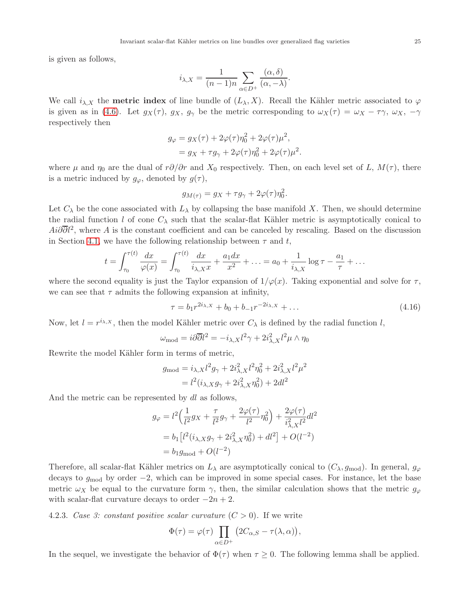is given as follows,

$$
i_{\lambda,X} = \frac{1}{(n-1)n} \sum_{\alpha \in D^+} \frac{(\alpha, \delta)}{(\alpha, -\lambda)}
$$

We call  $i_{\lambda,X}$  the **metric index** of line bundle of  $(L_{\lambda}, X)$ . Recall the Kähler metric associated to  $\varphi$ is given as in [\(4.6\)](#page-20-1). Let  $g_X(\tau)$ ,  $g_X$ ,  $g_\gamma$  be the metric corresponding to  $\omega_X(\tau) = \omega_X - \tau \gamma$ ,  $\omega_X$ ,  $-\gamma$ respectively then

$$
g_{\varphi} = g_X(\tau) + 2\varphi(\tau)\eta_0^2 + 2\varphi(\tau)\mu^2,
$$
  
=  $g_X + \tau g_{\gamma} + 2\varphi(\tau)\eta_0^2 + 2\varphi(\tau)\mu^2.$ 

where  $\mu$  and  $\eta_0$  are the dual of  $r\partial/\partial r$  and  $X_0$  respectively. Then, on each level set of L,  $M(\tau)$ , there is a metric induced by  $g_{\varphi}$ , denoted by  $g(\tau)$ ,

$$
g_{M(\tau)} = g_X + \tau g_\gamma + 2\varphi(\tau)\eta_0^2
$$

Let  $C_{\lambda}$  be the cone associated with  $L_{\lambda}$  by collapsing the base manifold X. Then, we should determine the radial function l of cone  $C_{\lambda}$  such that the scalar-flat Kähler metric is asymptotically conical to  $Ai\partial \overline{\partial}l^2$ , where A is the constant coefficient and can be canceled by rescaling. Based on the discussion in Section [4.1,](#page-19-1) we have the following relationship between  $\tau$  and t,

$$
t = \int_{\tau_0}^{\tau(t)} \frac{dx}{\varphi(x)} = \int_{\tau_0}^{\tau(t)} \frac{dx}{i_{\lambda,X}x} + \frac{a_1 dx}{x^2} + \ldots = a_0 + \frac{1}{i_{\lambda,X}} \log \tau - \frac{a_1}{\tau} + \ldots
$$

where the second equality is just the Taylor expansion of  $1/\varphi(x)$ . Taking exponential and solve for  $\tau$ , we can see that  $\tau$  admits the following expansion at infinity,

$$
\tau = b_1 r^{2i_{\lambda,X}} + b_0 + b_{-1} r^{-2i_{\lambda,X}} + \dots \tag{4.16}
$$

.

.

Now, let  $l = r^{\lambda, x}$ , then the model Kähler metric over  $C_{\lambda}$  is defined by the radial function l,

$$
\omega_{\rm mod} = i\partial\overline{\partial} l^2 = -i_{\lambda,X}l^2\gamma + 2i_{\lambda,X}^2l^2\mu \wedge \eta_0
$$

Rewrite the model Kähler form in terms of metric,

$$
g_{\text{mod}} = i_{\lambda,X} l^2 g_{\gamma} + 2i_{\lambda,X}^2 l^2 \eta_0^2 + 2i_{\lambda,X}^2 l^2 \mu^2
$$
  
=  $l^2 (i_{\lambda,X} g_{\gamma} + 2i_{\lambda,X}^2 \eta_0^2) + 2dl^2$ 

And the metric can be represented by dl as follows,

$$
g_{\varphi} = l^2 \left( \frac{1}{l^2} g_X + \frac{\tau}{l^2} g_{\gamma} + \frac{2\varphi(\tau)}{l^2} \eta_0^2 \right) + \frac{2\varphi(\tau)}{i_{\lambda,X}^2 l^2} dl^2
$$
  
=  $b_1 \left[ l^2 (i_{\lambda,X} g_{\gamma} + 2i_{\lambda,X}^2 \eta_0^2) + dl^2 \right] + O(l^{-2})$   
=  $b_1 g_{\text{mod}} + O(l^{-2})$ 

Therefore, all scalar-flat Kähler metrics on  $L_\lambda$  are asymptotically conical to  $(C_\lambda, g_{\text{mod}})$ . In general,  $g_\varphi$ decays to  $g_{mod}$  by order  $-2$ , which can be improved in some special cases. For instance, let the base metric  $\omega_X$  be equal to the curvature form  $\gamma$ , then, the similar calculation shows that the metric  $g_{\varphi}$ with scalar-flat curvature decays to order  $-2n+2$ .

4.2.3. Case 3: constant positive scalar curvature  $(C > 0)$ . If we write

$$
\Phi(\tau) = \varphi(\tau) \prod_{\alpha \in D^+} \left( 2C_{\alpha,S} - \tau(\lambda, \alpha) \right),
$$

In the sequel, we investigate the behavior of  $\Phi(\tau)$  when  $\tau \geq 0$ . The following lemma shall be applied.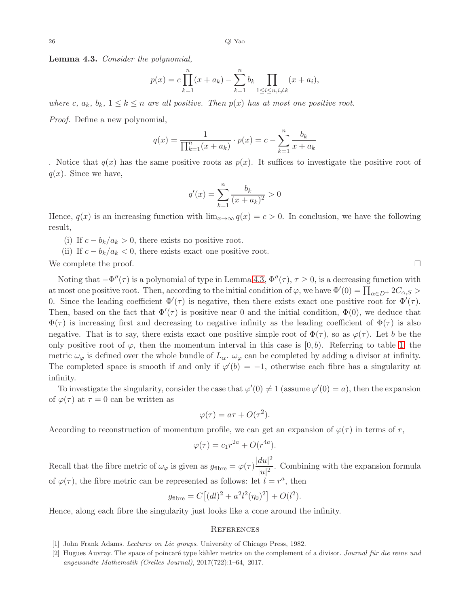<span id="page-25-2"></span>Lemma 4.3. Consider the polynomial,

$$
p(x) = c \prod_{k=1}^{n} (x + a_k) - \sum_{k=1}^{n} b_k \prod_{1 \le i \le n, i \ne k} (x + a_i),
$$

where c,  $a_k$ ,  $b_k$ ,  $1 \leq k \leq n$  are all positive. Then  $p(x)$  has at most one positive root.

Proof. Define a new polynomial,

$$
q(x) = \frac{1}{\prod_{k=1}^{n} (x + a_k)} \cdot p(x) = c - \sum_{k=1}^{n} \frac{b_k}{x + a_k}
$$

. Notice that  $q(x)$  has the same positive roots as  $p(x)$ . It suffices to investigate the positive root of  $q(x)$ . Since we have,

$$
q'(x) = \sum_{k=1}^{n} \frac{b_k}{(x + a_k)^2} > 0
$$

Hence,  $q(x)$  is an increasing function with  $\lim_{x\to\infty} q(x) = c > 0$ . In conclusion, we have the following result,

(i) If  $c - b_k/a_k > 0$ , there exists no positive root.

(ii) If  $c - b_k/a_k < 0$ , there exists exact one positive root.

We complete the proof.  $\Box$ 

Noting that  $-\Phi''(\tau)$  is a polynomial of type in Lemma [4.3,](#page-25-2)  $\Phi''(\tau)$ ,  $\tau \geq 0$ , is a decreasing function with at most one positive root. Then, according to the initial condition of  $\varphi$ , we have  $\Phi'(0) = \prod_{\alpha \in D^+} 2C_{\alpha,S} >$ 0. Since the leading coefficient  $\Phi'(\tau)$  is negative, then there exists exact one positive root for  $\Phi'(\tau)$ . Then, based on the fact that  $\Phi'(\tau)$  is positive near 0 and the initial condition,  $\Phi(0)$ , we deduce that  $\Phi(\tau)$  is increasing first and decreasing to negative infinity as the leading coefficient of  $\Phi(\tau)$  is also negative. That is to say, there exists exact one positive simple root of  $\Phi(\tau)$ , so as  $\varphi(\tau)$ . Let b be the only positive root of  $\varphi$ , then the momentum interval in this case is  $[0, b)$ . Referring to table [1,](#page-22-1) the metric  $\omega_{\varphi}$  is defined over the whole bundle of  $L_{\alpha}$ .  $\omega_{\varphi}$  can be completed by adding a divisor at infinity. The completed space is smooth if and only if  $\varphi'(b) = -1$ , otherwise each fibre has a singularity at infinity.

To investigate the singularity, consider the case that  $\varphi'(0) \neq 1$  (assume  $\varphi'(0) = a$ ), then the expansion of  $\varphi(\tau)$  at  $\tau = 0$  can be written as

$$
\varphi(\tau) = a\tau + O(\tau^2).
$$

According to reconstruction of momentum profile, we can get an expansion of  $\varphi(\tau)$  in terms of r,

$$
\varphi(\tau) = c_1 r^{2a} + O(r^{4a}).
$$

Recall that the fibre metric of  $\omega_{\varphi}$  is given as  $g_{\text{fibre}} = \varphi(\tau) \frac{|du|^2}{|d\tau|^2}$  $\frac{du}{|u|^2}$ . Combining with the expansion formula of  $\varphi(\tau)$ , the fibre metric can be represented as follows: let  $l = r^a$ , then

$$
g_{\text{fibre}} = C [(dl)^2 + a^2 l^2 (\eta_0)^2] + O(l^2).
$$

Hence, along each fibre the singularity just looks like a cone around the infinity.

### **REFERENCES**

- <span id="page-25-1"></span><span id="page-25-0"></span>[1] John Frank Adams. Lectures on Lie groups. University of Chicago Press, 1982.
- [2] Hugues Auvray. The space of poincaré type kähler metrics on the complement of a divisor. Journal für die reine und angewandte Mathematik (Crelles Journal), 2017(722):1–64, 2017.